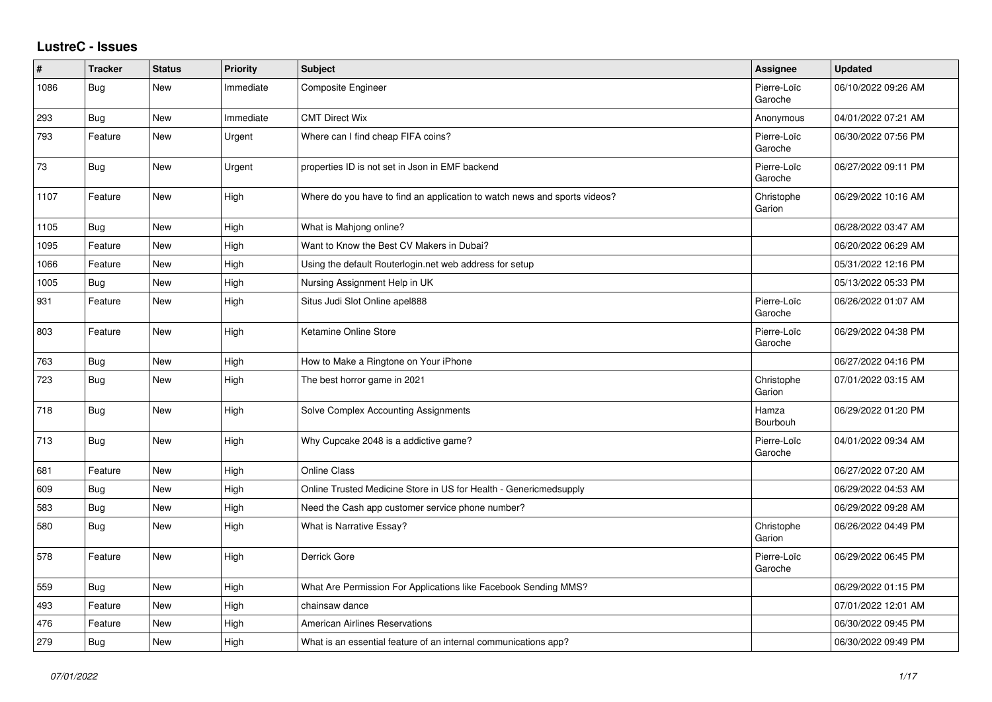## **LustreC - Issues**

| #    | <b>Tracker</b> | <b>Status</b> | <b>Priority</b> | <b>Subject</b>                                                            | <b>Assignee</b>        | <b>Updated</b>      |
|------|----------------|---------------|-----------------|---------------------------------------------------------------------------|------------------------|---------------------|
| 1086 | Bug            | New           | Immediate       | Composite Engineer                                                        | Pierre-Loïc<br>Garoche | 06/10/2022 09:26 AM |
| 293  | Bug            | New           | Immediate       | <b>CMT Direct Wix</b>                                                     | Anonymous              | 04/01/2022 07:21 AM |
| 793  | Feature        | New           | Urgent          | Where can I find cheap FIFA coins?                                        | Pierre-Loïc<br>Garoche | 06/30/2022 07:56 PM |
| 73   | Bug            | New           | Urgent          | properties ID is not set in Json in EMF backend                           | Pierre-Loïc<br>Garoche | 06/27/2022 09:11 PM |
| 1107 | Feature        | New           | High            | Where do you have to find an application to watch news and sports videos? | Christophe<br>Garion   | 06/29/2022 10:16 AM |
| 1105 | Bug            | <b>New</b>    | High            | What is Mahjong online?                                                   |                        | 06/28/2022 03:47 AM |
| 1095 | Feature        | New           | High            | Want to Know the Best CV Makers in Dubai?                                 |                        | 06/20/2022 06:29 AM |
| 1066 | Feature        | New           | High            | Using the default Routerlogin.net web address for setup                   |                        | 05/31/2022 12:16 PM |
| 1005 | Bug            | New           | High            | Nursing Assignment Help in UK                                             |                        | 05/13/2022 05:33 PM |
| 931  | Feature        | New           | High            | Situs Judi Slot Online apel888                                            | Pierre-Loïc<br>Garoche | 06/26/2022 01:07 AM |
| 803  | Feature        | New           | High            | Ketamine Online Store                                                     | Pierre-Loïc<br>Garoche | 06/29/2022 04:38 PM |
| 763  | Bug            | New           | High            | How to Make a Ringtone on Your iPhone                                     |                        | 06/27/2022 04:16 PM |
| 723  | Bug            | New           | High            | The best horror game in 2021                                              | Christophe<br>Garion   | 07/01/2022 03:15 AM |
| 718  | <b>Bug</b>     | <b>New</b>    | High            | Solve Complex Accounting Assignments                                      | Hamza<br>Bourbouh      | 06/29/2022 01:20 PM |
| 713  | Bug            | New           | High            | Why Cupcake 2048 is a addictive game?                                     | Pierre-Loïc<br>Garoche | 04/01/2022 09:34 AM |
| 681  | Feature        | New           | High            | <b>Online Class</b>                                                       |                        | 06/27/2022 07:20 AM |
| 609  | Bug            | New           | High            | Online Trusted Medicine Store in US for Health - Genericmedsupply         |                        | 06/29/2022 04:53 AM |
| 583  | Bug            | New           | High            | Need the Cash app customer service phone number?                          |                        | 06/29/2022 09:28 AM |
| 580  | Bug            | New           | High            | What is Narrative Essay?                                                  | Christophe<br>Garion   | 06/26/2022 04:49 PM |
| 578  | Feature        | New           | High            | Derrick Gore                                                              | Pierre-Loïc<br>Garoche | 06/29/2022 06:45 PM |
| 559  | Bug            | New           | High            | What Are Permission For Applications like Facebook Sending MMS?           |                        | 06/29/2022 01:15 PM |
| 493  | Feature        | <b>New</b>    | High            | chainsaw dance                                                            |                        | 07/01/2022 12:01 AM |
| 476  | Feature        | New           | High            | <b>American Airlines Reservations</b>                                     |                        | 06/30/2022 09:45 PM |
| 279  | Bug            | New           | High            | What is an essential feature of an internal communications app?           |                        | 06/30/2022 09:49 PM |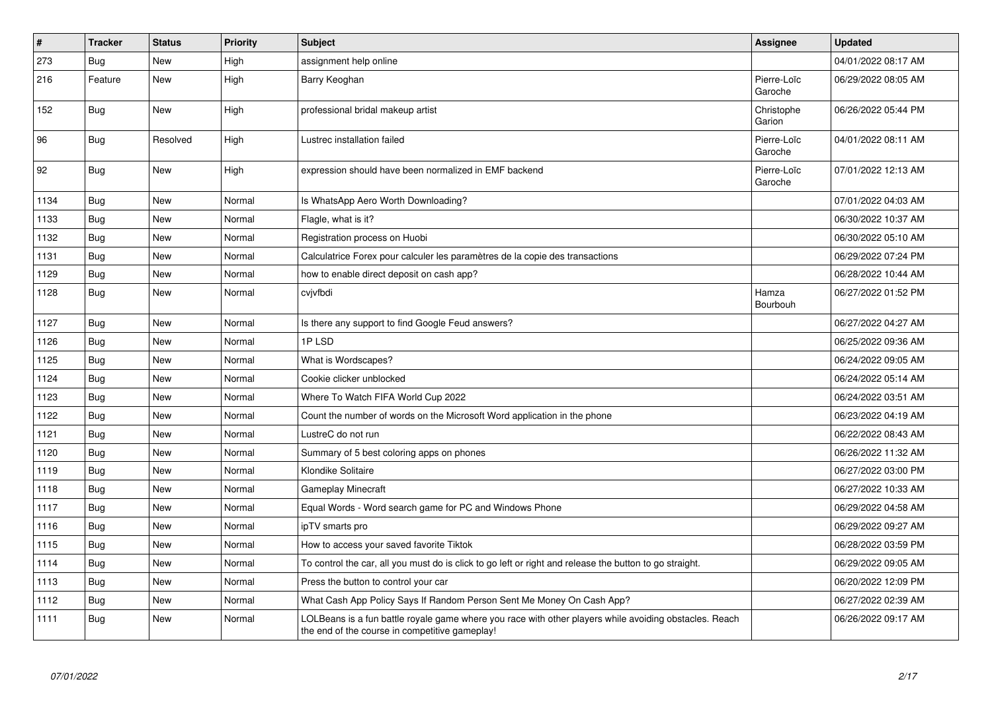| $\vert$ # | <b>Tracker</b> | <b>Status</b> | <b>Priority</b> | <b>Subject</b>                                                                                                                                           | <b>Assignee</b>        | <b>Updated</b>      |
|-----------|----------------|---------------|-----------------|----------------------------------------------------------------------------------------------------------------------------------------------------------|------------------------|---------------------|
| 273       | Bug            | New           | High            | assignment help online                                                                                                                                   |                        | 04/01/2022 08:17 AM |
| 216       | Feature        | <b>New</b>    | High            | Barry Keoghan                                                                                                                                            | Pierre-Loïc<br>Garoche | 06/29/2022 08:05 AM |
| 152       | Bug            | New           | High            | professional bridal makeup artist                                                                                                                        | Christophe<br>Garion   | 06/26/2022 05:44 PM |
| 96        | Bug            | Resolved      | High            | Lustrec installation failed                                                                                                                              | Pierre-Loïc<br>Garoche | 04/01/2022 08:11 AM |
| 92        | <b>Bug</b>     | New           | High            | expression should have been normalized in EMF backend                                                                                                    | Pierre-Loïc<br>Garoche | 07/01/2022 12:13 AM |
| 1134      | <b>Bug</b>     | New           | Normal          | Is WhatsApp Aero Worth Downloading?                                                                                                                      |                        | 07/01/2022 04:03 AM |
| 1133      | Bug            | New           | Normal          | Flagle, what is it?                                                                                                                                      |                        | 06/30/2022 10:37 AM |
| 1132      | Bug            | New           | Normal          | Registration process on Huobi                                                                                                                            |                        | 06/30/2022 05:10 AM |
| 1131      | <b>Bug</b>     | New           | Normal          | Calculatrice Forex pour calculer les paramètres de la copie des transactions                                                                             |                        | 06/29/2022 07:24 PM |
| 1129      | <b>Bug</b>     | New           | Normal          | how to enable direct deposit on cash app?                                                                                                                |                        | 06/28/2022 10:44 AM |
| 1128      | <b>Bug</b>     | <b>New</b>    | Normal          | cvjvfbdi                                                                                                                                                 | Hamza<br>Bourbouh      | 06/27/2022 01:52 PM |
| 1127      | Bug            | <b>New</b>    | Normal          | Is there any support to find Google Feud answers?                                                                                                        |                        | 06/27/2022 04:27 AM |
| 1126      | Bug            | <b>New</b>    | Normal          | 1PLSD                                                                                                                                                    |                        | 06/25/2022 09:36 AM |
| 1125      | <b>Bug</b>     | New           | Normal          | What is Wordscapes?                                                                                                                                      |                        | 06/24/2022 09:05 AM |
| 1124      | Bug            | <b>New</b>    | Normal          | Cookie clicker unblocked                                                                                                                                 |                        | 06/24/2022 05:14 AM |
| 1123      | <b>Bug</b>     | New           | Normal          | Where To Watch FIFA World Cup 2022                                                                                                                       |                        | 06/24/2022 03:51 AM |
| 1122      | Bug            | New           | Normal          | Count the number of words on the Microsoft Word application in the phone                                                                                 |                        | 06/23/2022 04:19 AM |
| 1121      | Bug            | New           | Normal          | LustreC do not run                                                                                                                                       |                        | 06/22/2022 08:43 AM |
| 1120      | <b>Bug</b>     | <b>New</b>    | Normal          | Summary of 5 best coloring apps on phones                                                                                                                |                        | 06/26/2022 11:32 AM |
| 1119      | Bug            | New           | Normal          | Klondike Solitaire                                                                                                                                       |                        | 06/27/2022 03:00 PM |
| 1118      | Bug            | New           | Normal          | <b>Gameplay Minecraft</b>                                                                                                                                |                        | 06/27/2022 10:33 AM |
| 1117      | <b>Bug</b>     | <b>New</b>    | Normal          | Equal Words - Word search game for PC and Windows Phone                                                                                                  |                        | 06/29/2022 04:58 AM |
| 1116      | Bug            | New           | Normal          | ipTV smarts pro                                                                                                                                          |                        | 06/29/2022 09:27 AM |
| 1115      | Bug            | New           | Normal          | How to access your saved favorite Tiktok                                                                                                                 |                        | 06/28/2022 03:59 PM |
| 1114      | <b>Bug</b>     | New           | Normal          | To control the car, all you must do is click to go left or right and release the button to go straight.                                                  |                        | 06/29/2022 09:05 AM |
| 1113      | Bug            | New           | Normal          | Press the button to control your car                                                                                                                     |                        | 06/20/2022 12:09 PM |
| 1112      | Bug            | New           | Normal          | What Cash App Policy Says If Random Person Sent Me Money On Cash App?                                                                                    |                        | 06/27/2022 02:39 AM |
| 1111      | <b>Bug</b>     | New           | Normal          | LOLBeans is a fun battle royale game where you race with other players while avoiding obstacles. Reach<br>the end of the course in competitive gameplay! |                        | 06/26/2022 09:17 AM |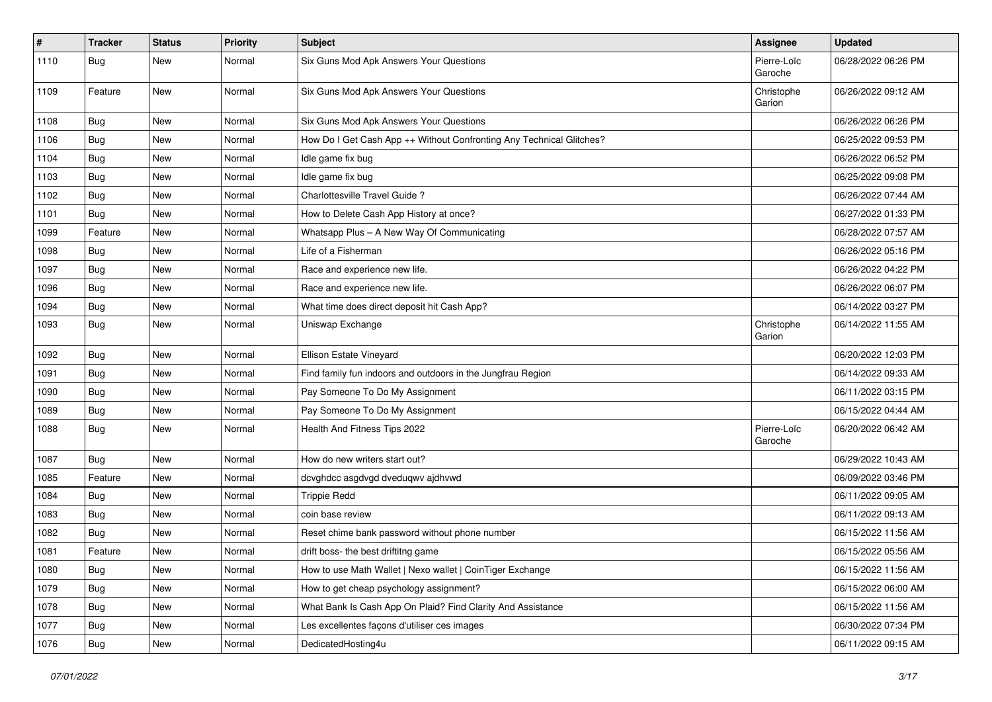| #    | <b>Tracker</b> | <b>Status</b> | <b>Priority</b> | <b>Subject</b>                                                       | Assignee               | <b>Updated</b>      |
|------|----------------|---------------|-----------------|----------------------------------------------------------------------|------------------------|---------------------|
| 1110 | <b>Bug</b>     | New           | Normal          | Six Guns Mod Apk Answers Your Questions                              | Pierre-Loïc<br>Garoche | 06/28/2022 06:26 PM |
| 1109 | Feature        | <b>New</b>    | Normal          | Six Guns Mod Apk Answers Your Questions                              | Christophe<br>Garion   | 06/26/2022 09:12 AM |
| 1108 | Bug            | New           | Normal          | Six Guns Mod Apk Answers Your Questions                              |                        | 06/26/2022 06:26 PM |
| 1106 | Bug            | New           | Normal          | How Do I Get Cash App ++ Without Confronting Any Technical Glitches? |                        | 06/25/2022 09:53 PM |
| 1104 | Bug            | New           | Normal          | Idle game fix bug                                                    |                        | 06/26/2022 06:52 PM |
| 1103 | <b>Bug</b>     | New           | Normal          | Idle game fix bug                                                    |                        | 06/25/2022 09:08 PM |
| 1102 | <b>Bug</b>     | New           | Normal          | Charlottesville Travel Guide?                                        |                        | 06/26/2022 07:44 AM |
| 1101 | Bug            | New           | Normal          | How to Delete Cash App History at once?                              |                        | 06/27/2022 01:33 PM |
| 1099 | Feature        | New           | Normal          | Whatsapp Plus - A New Way Of Communicating                           |                        | 06/28/2022 07:57 AM |
| 1098 | <b>Bug</b>     | New           | Normal          | Life of a Fisherman                                                  |                        | 06/26/2022 05:16 PM |
| 1097 | Bug            | New           | Normal          | Race and experience new life.                                        |                        | 06/26/2022 04:22 PM |
| 1096 | <b>Bug</b>     | New           | Normal          | Race and experience new life.                                        |                        | 06/26/2022 06:07 PM |
| 1094 | Bug            | New           | Normal          | What time does direct deposit hit Cash App?                          |                        | 06/14/2022 03:27 PM |
| 1093 | <b>Bug</b>     | New           | Normal          | Uniswap Exchange                                                     | Christophe<br>Garion   | 06/14/2022 11:55 AM |
| 1092 | Bug            | New           | Normal          | Ellison Estate Vineyard                                              |                        | 06/20/2022 12:03 PM |
| 1091 | Bug            | New           | Normal          | Find family fun indoors and outdoors in the Jungfrau Region          |                        | 06/14/2022 09:33 AM |
| 1090 | Bug            | New           | Normal          | Pay Someone To Do My Assignment                                      |                        | 06/11/2022 03:15 PM |
| 1089 | Bug            | New           | Normal          | Pay Someone To Do My Assignment                                      |                        | 06/15/2022 04:44 AM |
| 1088 | Bug            | New           | Normal          | Health And Fitness Tips 2022                                         | Pierre-Loïc<br>Garoche | 06/20/2022 06:42 AM |
| 1087 | Bug            | New           | Normal          | How do new writers start out?                                        |                        | 06/29/2022 10:43 AM |
| 1085 | Feature        | New           | Normal          | dcvghdcc asgdvgd dveduqwv ajdhvwd                                    |                        | 06/09/2022 03:46 PM |
| 1084 | Bug            | New           | Normal          | <b>Trippie Redd</b>                                                  |                        | 06/11/2022 09:05 AM |
| 1083 | Bug            | New           | Normal          | coin base review                                                     |                        | 06/11/2022 09:13 AM |
| 1082 | Bug            | New           | Normal          | Reset chime bank password without phone number                       |                        | 06/15/2022 11:56 AM |
| 1081 | Feature        | New           | Normal          | drift boss- the best driftitng game                                  |                        | 06/15/2022 05:56 AM |
| 1080 | Bug            | New           | Normal          | How to use Math Wallet   Nexo wallet   CoinTiger Exchange            |                        | 06/15/2022 11:56 AM |
| 1079 | <b>Bug</b>     | New           | Normal          | How to get cheap psychology assignment?                              |                        | 06/15/2022 06:00 AM |
| 1078 | <b>Bug</b>     | New           | Normal          | What Bank Is Cash App On Plaid? Find Clarity And Assistance          |                        | 06/15/2022 11:56 AM |
| 1077 | Bug            | New           | Normal          | Les excellentes façons d'utiliser ces images                         |                        | 06/30/2022 07:34 PM |
| 1076 | <b>Bug</b>     | New           | Normal          | DedicatedHosting4u                                                   |                        | 06/11/2022 09:15 AM |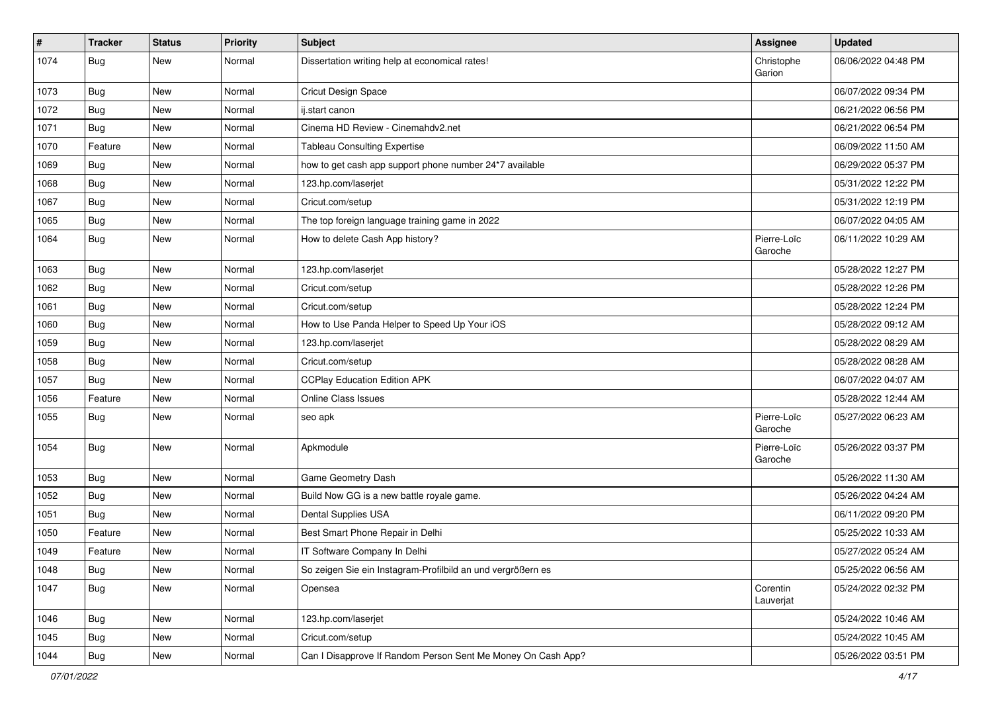| #    | <b>Tracker</b> | <b>Status</b> | <b>Priority</b> | <b>Subject</b>                                               | Assignee               | <b>Updated</b>      |
|------|----------------|---------------|-----------------|--------------------------------------------------------------|------------------------|---------------------|
| 1074 | <b>Bug</b>     | New           | Normal          | Dissertation writing help at economical rates!               | Christophe<br>Garion   | 06/06/2022 04:48 PM |
| 1073 | Bug            | New           | Normal          | Cricut Design Space                                          |                        | 06/07/2022 09:34 PM |
| 1072 | <b>Bug</b>     | New           | Normal          | ij.start canon                                               |                        | 06/21/2022 06:56 PM |
| 1071 | Bug            | New           | Normal          | Cinema HD Review - Cinemahdv2.net                            |                        | 06/21/2022 06:54 PM |
| 1070 | Feature        | New           | Normal          | <b>Tableau Consulting Expertise</b>                          |                        | 06/09/2022 11:50 AM |
| 1069 | <b>Bug</b>     | New           | Normal          | how to get cash app support phone number 24*7 available      |                        | 06/29/2022 05:37 PM |
| 1068 | <b>Bug</b>     | New           | Normal          | 123.hp.com/laserjet                                          |                        | 05/31/2022 12:22 PM |
| 1067 | Bug            | New           | Normal          | Cricut.com/setup                                             |                        | 05/31/2022 12:19 PM |
| 1065 | Bug            | New           | Normal          | The top foreign language training game in 2022               |                        | 06/07/2022 04:05 AM |
| 1064 | <b>Bug</b>     | New           | Normal          | How to delete Cash App history?                              | Pierre-Loïc<br>Garoche | 06/11/2022 10:29 AM |
| 1063 | <b>Bug</b>     | New           | Normal          | 123.hp.com/laserjet                                          |                        | 05/28/2022 12:27 PM |
| 1062 | <b>Bug</b>     | New           | Normal          | Cricut.com/setup                                             |                        | 05/28/2022 12:26 PM |
| 1061 | Bug            | New           | Normal          | Cricut.com/setup                                             |                        | 05/28/2022 12:24 PM |
| 1060 | <b>Bug</b>     | New           | Normal          | How to Use Panda Helper to Speed Up Your iOS                 |                        | 05/28/2022 09:12 AM |
| 1059 | Bug            | New           | Normal          | 123.hp.com/laserjet                                          |                        | 05/28/2022 08:29 AM |
| 1058 | <b>Bug</b>     | New           | Normal          | Cricut.com/setup                                             |                        | 05/28/2022 08:28 AM |
| 1057 | Bug            | New           | Normal          | <b>CCPlay Education Edition APK</b>                          |                        | 06/07/2022 04:07 AM |
| 1056 | Feature        | New           | Normal          | <b>Online Class Issues</b>                                   |                        | 05/28/2022 12:44 AM |
| 1055 | <b>Bug</b>     | New           | Normal          | seo apk                                                      | Pierre-Loïc<br>Garoche | 05/27/2022 06:23 AM |
| 1054 | Bug            | New           | Normal          | Apkmodule                                                    | Pierre-Loïc<br>Garoche | 05/26/2022 03:37 PM |
| 1053 | Bug            | New           | Normal          | Game Geometry Dash                                           |                        | 05/26/2022 11:30 AM |
| 1052 | <b>Bug</b>     | New           | Normal          | Build Now GG is a new battle royale game.                    |                        | 05/26/2022 04:24 AM |
| 1051 | <b>Bug</b>     | New           | Normal          | Dental Supplies USA                                          |                        | 06/11/2022 09:20 PM |
| 1050 | Feature        | New           | Normal          | Best Smart Phone Repair in Delhi                             |                        | 05/25/2022 10:33 AM |
| 1049 | Feature        | New           | Normal          | IT Software Company In Delhi                                 |                        | 05/27/2022 05:24 AM |
| 1048 | <b>Bug</b>     | New           | Normal          | So zeigen Sie ein Instagram-Profilbild an und vergrößern es  |                        | 05/25/2022 06:56 AM |
| 1047 | <b>Bug</b>     | New           | Normal          | Opensea                                                      | Corentin<br>Lauverjat  | 05/24/2022 02:32 PM |
| 1046 | Bug            | New           | Normal          | 123.hp.com/laserjet                                          |                        | 05/24/2022 10:46 AM |
| 1045 | <b>Bug</b>     | New           | Normal          | Cricut.com/setup                                             |                        | 05/24/2022 10:45 AM |
| 1044 | Bug            | New           | Normal          | Can I Disapprove If Random Person Sent Me Money On Cash App? |                        | 05/26/2022 03:51 PM |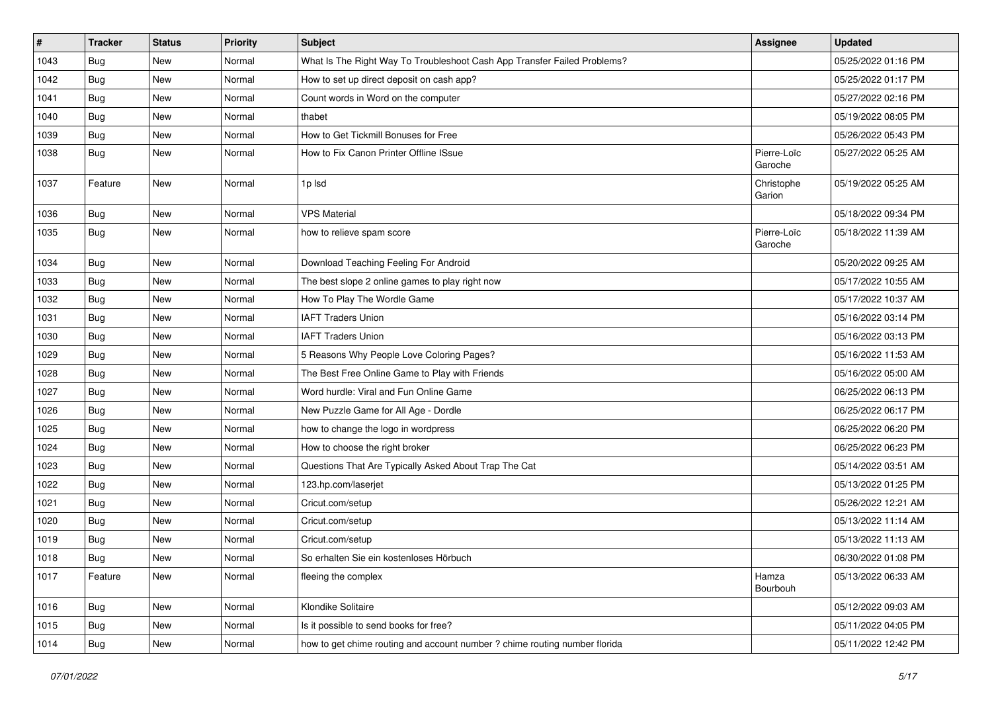| $\vert$ # | <b>Tracker</b> | <b>Status</b> | <b>Priority</b> | <b>Subject</b>                                                             | <b>Assignee</b>        | <b>Updated</b>      |
|-----------|----------------|---------------|-----------------|----------------------------------------------------------------------------|------------------------|---------------------|
| 1043      | <b>Bug</b>     | New           | Normal          | What Is The Right Way To Troubleshoot Cash App Transfer Failed Problems?   |                        | 05/25/2022 01:16 PM |
| 1042      | Bug            | New           | Normal          | How to set up direct deposit on cash app?                                  |                        | 05/25/2022 01:17 PM |
| 1041      | Bug            | New           | Normal          | Count words in Word on the computer                                        |                        | 05/27/2022 02:16 PM |
| 1040      | <b>Bug</b>     | New           | Normal          | thabet                                                                     |                        | 05/19/2022 08:05 PM |
| 1039      | <b>Bug</b>     | New           | Normal          | How to Get Tickmill Bonuses for Free                                       |                        | 05/26/2022 05:43 PM |
| 1038      | Bug            | New           | Normal          | How to Fix Canon Printer Offline ISsue                                     | Pierre-Loïc<br>Garoche | 05/27/2022 05:25 AM |
| 1037      | Feature        | New           | Normal          | 1p lsd                                                                     | Christophe<br>Garion   | 05/19/2022 05:25 AM |
| 1036      | Bug            | New           | Normal          | <b>VPS Material</b>                                                        |                        | 05/18/2022 09:34 PM |
| 1035      | Bug            | New           | Normal          | how to relieve spam score                                                  | Pierre-Loïc<br>Garoche | 05/18/2022 11:39 AM |
| 1034      | <b>Bug</b>     | New           | Normal          | Download Teaching Feeling For Android                                      |                        | 05/20/2022 09:25 AM |
| 1033      | Bug            | New           | Normal          | The best slope 2 online games to play right now                            |                        | 05/17/2022 10:55 AM |
| 1032      | Bug            | New           | Normal          | How To Play The Wordle Game                                                |                        | 05/17/2022 10:37 AM |
| 1031      | Bug            | New           | Normal          | <b>IAFT Traders Union</b>                                                  |                        | 05/16/2022 03:14 PM |
| 1030      | <b>Bug</b>     | New           | Normal          | <b>IAFT Traders Union</b>                                                  |                        | 05/16/2022 03:13 PM |
| 1029      | Bug            | New           | Normal          | 5 Reasons Why People Love Coloring Pages?                                  |                        | 05/16/2022 11:53 AM |
| 1028      | <b>Bug</b>     | New           | Normal          | The Best Free Online Game to Play with Friends                             |                        | 05/16/2022 05:00 AM |
| 1027      | <b>Bug</b>     | New           | Normal          | Word hurdle: Viral and Fun Online Game                                     |                        | 06/25/2022 06:13 PM |
| 1026      | Bug            | New           | Normal          | New Puzzle Game for All Age - Dordle                                       |                        | 06/25/2022 06:17 PM |
| 1025      | <b>Bug</b>     | New           | Normal          | how to change the logo in wordpress                                        |                        | 06/25/2022 06:20 PM |
| 1024      | Bug            | New           | Normal          | How to choose the right broker                                             |                        | 06/25/2022 06:23 PM |
| 1023      | Bug            | New           | Normal          | Questions That Are Typically Asked About Trap The Cat                      |                        | 05/14/2022 03:51 AM |
| 1022      | Bug            | New           | Normal          | 123.hp.com/laserjet                                                        |                        | 05/13/2022 01:25 PM |
| 1021      | Bug            | New           | Normal          | Cricut.com/setup                                                           |                        | 05/26/2022 12:21 AM |
| 1020      | <b>Bug</b>     | New           | Normal          | Cricut.com/setup                                                           |                        | 05/13/2022 11:14 AM |
| 1019      | <b>Bug</b>     | New           | Normal          | Cricut.com/setup                                                           |                        | 05/13/2022 11:13 AM |
| 1018      | Bug            | New           | Normal          | So erhalten Sie ein kostenloses Hörbuch                                    |                        | 06/30/2022 01:08 PM |
| 1017      | Feature        | New           | Normal          | fleeing the complex                                                        | Hamza<br>Bourbouh      | 05/13/2022 06:33 AM |
| 1016      | Bug            | New           | Normal          | Klondike Solitaire                                                         |                        | 05/12/2022 09:03 AM |
| 1015      | <b>Bug</b>     | New           | Normal          | Is it possible to send books for free?                                     |                        | 05/11/2022 04:05 PM |
| 1014      | <b>Bug</b>     | New           | Normal          | how to get chime routing and account number ? chime routing number florida |                        | 05/11/2022 12:42 PM |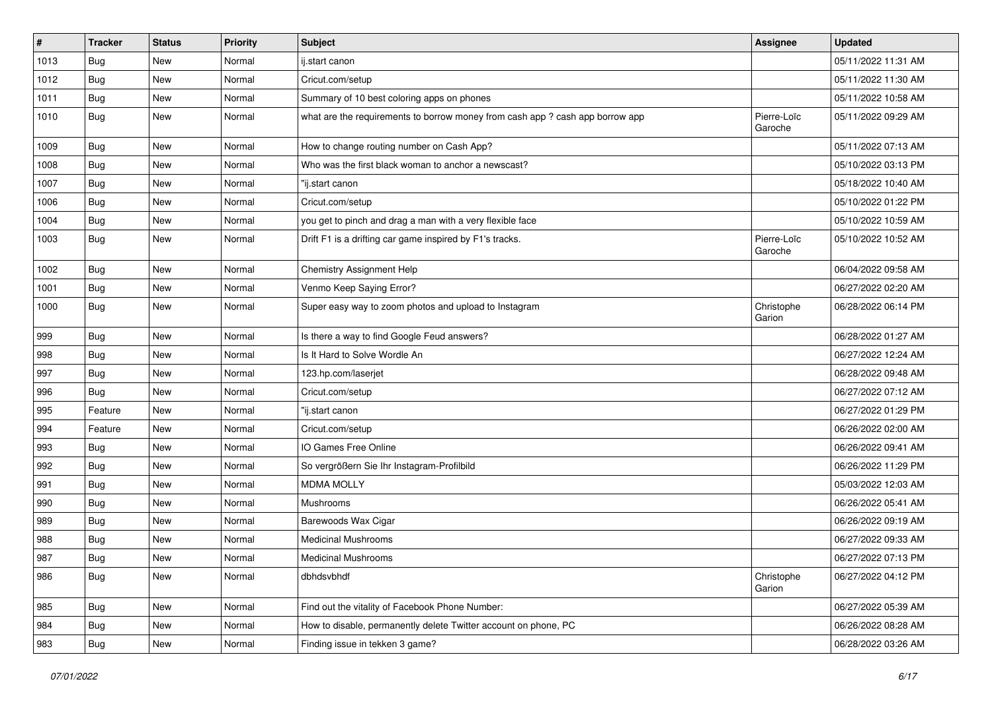| $\vert$ # | <b>Tracker</b> | <b>Status</b> | <b>Priority</b> | <b>Subject</b>                                                                | <b>Assignee</b>        | <b>Updated</b>      |
|-----------|----------------|---------------|-----------------|-------------------------------------------------------------------------------|------------------------|---------------------|
| 1013      | Bug            | New           | Normal          | ij.start canon                                                                |                        | 05/11/2022 11:31 AM |
| 1012      | Bug            | New           | Normal          | Cricut.com/setup                                                              |                        | 05/11/2022 11:30 AM |
| 1011      | Bug            | New           | Normal          | Summary of 10 best coloring apps on phones                                    |                        | 05/11/2022 10:58 AM |
| 1010      | <b>Bug</b>     | New           | Normal          | what are the requirements to borrow money from cash app ? cash app borrow app | Pierre-Loïc<br>Garoche | 05/11/2022 09:29 AM |
| 1009      | Bug            | New           | Normal          | How to change routing number on Cash App?                                     |                        | 05/11/2022 07:13 AM |
| 1008      | Bug            | <b>New</b>    | Normal          | Who was the first black woman to anchor a newscast?                           |                        | 05/10/2022 03:13 PM |
| 1007      | Bug            | New           | Normal          | "ij.start canon                                                               |                        | 05/18/2022 10:40 AM |
| 1006      | Bug            | New           | Normal          | Cricut.com/setup                                                              |                        | 05/10/2022 01:22 PM |
| 1004      | Bug            | New           | Normal          | you get to pinch and drag a man with a very flexible face                     |                        | 05/10/2022 10:59 AM |
| 1003      | Bug            | New           | Normal          | Drift F1 is a drifting car game inspired by F1's tracks.                      | Pierre-Loïc<br>Garoche | 05/10/2022 10:52 AM |
| 1002      | <b>Bug</b>     | New           | Normal          | <b>Chemistry Assignment Help</b>                                              |                        | 06/04/2022 09:58 AM |
| 1001      | Bug            | New           | Normal          | Venmo Keep Saying Error?                                                      |                        | 06/27/2022 02:20 AM |
| 1000      | Bug            | New           | Normal          | Super easy way to zoom photos and upload to Instagram                         | Christophe<br>Garion   | 06/28/2022 06:14 PM |
| 999       | Bug            | New           | Normal          | Is there a way to find Google Feud answers?                                   |                        | 06/28/2022 01:27 AM |
| 998       | Bug            | New           | Normal          | Is It Hard to Solve Wordle An                                                 |                        | 06/27/2022 12:24 AM |
| 997       | Bug            | New           | Normal          | 123.hp.com/laserjet                                                           |                        | 06/28/2022 09:48 AM |
| 996       | Bug            | New           | Normal          | Cricut.com/setup                                                              |                        | 06/27/2022 07:12 AM |
| 995       | Feature        | New           | Normal          | "ij.start canon                                                               |                        | 06/27/2022 01:29 PM |
| 994       | Feature        | New           | Normal          | Cricut.com/setup                                                              |                        | 06/26/2022 02:00 AM |
| 993       | Bug            | New           | Normal          | IO Games Free Online                                                          |                        | 06/26/2022 09:41 AM |
| 992       | <b>Bug</b>     | New           | Normal          | So vergrößern Sie Ihr Instagram-Profilbild                                    |                        | 06/26/2022 11:29 PM |
| 991       | Bug            | New           | Normal          | <b>MDMA MOLLY</b>                                                             |                        | 05/03/2022 12:03 AM |
| 990       | Bug            | New           | Normal          | Mushrooms                                                                     |                        | 06/26/2022 05:41 AM |
| 989       | Bug            | New           | Normal          | Barewoods Wax Cigar                                                           |                        | 06/26/2022 09:19 AM |
| 988       | <b>Bug</b>     | New           | Normal          | <b>Medicinal Mushrooms</b>                                                    |                        | 06/27/2022 09:33 AM |
| 987       | i Bug          | New           | Normal          | <b>Medicinal Mushrooms</b>                                                    |                        | 06/27/2022 07:13 PM |
| 986       | <b>Bug</b>     | New           | Normal          | dbhdsvbhdf                                                                    | Christophe<br>Garion   | 06/27/2022 04:12 PM |
| 985       | Bug            | New           | Normal          | Find out the vitality of Facebook Phone Number:                               |                        | 06/27/2022 05:39 AM |
| 984       | Bug            | New           | Normal          | How to disable, permanently delete Twitter account on phone, PC               |                        | 06/26/2022 08:28 AM |
| 983       | Bug            | New           | Normal          | Finding issue in tekken 3 game?                                               |                        | 06/28/2022 03:26 AM |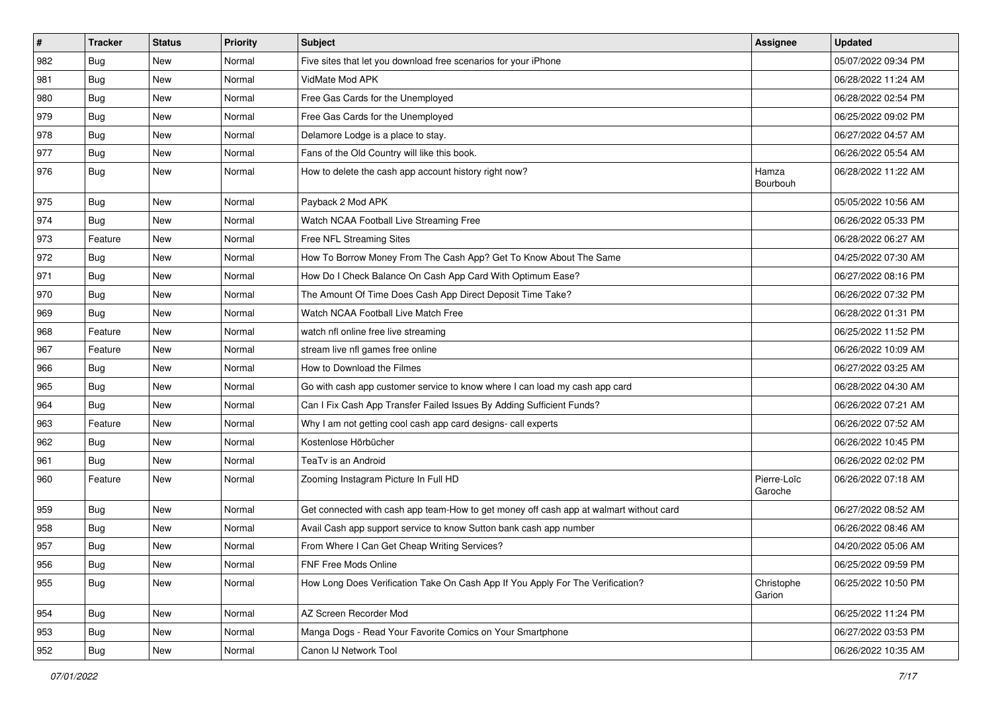| $\pmb{\#}$ | <b>Tracker</b> | <b>Status</b> | <b>Priority</b> | <b>Subject</b>                                                                         | <b>Assignee</b>        | <b>Updated</b>      |
|------------|----------------|---------------|-----------------|----------------------------------------------------------------------------------------|------------------------|---------------------|
| 982        | <b>Bug</b>     | New           | Normal          | Five sites that let you download free scenarios for your iPhone                        |                        | 05/07/2022 09:34 PM |
| 981        | Bug            | <b>New</b>    | Normal          | VidMate Mod APK                                                                        |                        | 06/28/2022 11:24 AM |
| 980        | <b>Bug</b>     | New           | Normal          | Free Gas Cards for the Unemployed                                                      |                        | 06/28/2022 02:54 PM |
| 979        | Bug            | New           | Normal          | Free Gas Cards for the Unemployed                                                      |                        | 06/25/2022 09:02 PM |
| 978        | <b>Bug</b>     | New           | Normal          | Delamore Lodge is a place to stay.                                                     |                        | 06/27/2022 04:57 AM |
| 977        | <b>Bug</b>     | New           | Normal          | Fans of the Old Country will like this book.                                           |                        | 06/26/2022 05:54 AM |
| 976        | <b>Bug</b>     | New           | Normal          | How to delete the cash app account history right now?                                  | Hamza<br>Bourbouh      | 06/28/2022 11:22 AM |
| 975        | <b>Bug</b>     | New           | Normal          | Payback 2 Mod APK                                                                      |                        | 05/05/2022 10:56 AM |
| 974        | <b>Bug</b>     | New           | Normal          | Watch NCAA Football Live Streaming Free                                                |                        | 06/26/2022 05:33 PM |
| 973        | Feature        | New           | Normal          | Free NFL Streaming Sites                                                               |                        | 06/28/2022 06:27 AM |
| 972        | Bug            | New           | Normal          | How To Borrow Money From The Cash App? Get To Know About The Same                      |                        | 04/25/2022 07:30 AM |
| 971        | <b>Bug</b>     | New           | Normal          | How Do I Check Balance On Cash App Card With Optimum Ease?                             |                        | 06/27/2022 08:16 PM |
| 970        | <b>Bug</b>     | New           | Normal          | The Amount Of Time Does Cash App Direct Deposit Time Take?                             |                        | 06/26/2022 07:32 PM |
| 969        | Bug            | New           | Normal          | Watch NCAA Football Live Match Free                                                    |                        | 06/28/2022 01:31 PM |
| 968        | Feature        | New           | Normal          | watch nfl online free live streaming                                                   |                        | 06/25/2022 11:52 PM |
| 967        | Feature        | New           | Normal          | stream live nfl games free online                                                      |                        | 06/26/2022 10:09 AM |
| 966        | Bug            | New           | Normal          | How to Download the Filmes                                                             |                        | 06/27/2022 03:25 AM |
| 965        | Bug            | New           | Normal          | Go with cash app customer service to know where I can load my cash app card            |                        | 06/28/2022 04:30 AM |
| 964        | <b>Bug</b>     | New           | Normal          | Can I Fix Cash App Transfer Failed Issues By Adding Sufficient Funds?                  |                        | 06/26/2022 07:21 AM |
| 963        | Feature        | New           | Normal          | Why I am not getting cool cash app card designs- call experts                          |                        | 06/26/2022 07:52 AM |
| 962        | <b>Bug</b>     | New           | Normal          | Kostenlose Hörbücher                                                                   |                        | 06/26/2022 10:45 PM |
| 961        | <b>Bug</b>     | New           | Normal          | TeaTv is an Android                                                                    |                        | 06/26/2022 02:02 PM |
| 960        | Feature        | New           | Normal          | Zooming Instagram Picture In Full HD                                                   | Pierre-Loïc<br>Garoche | 06/26/2022 07:18 AM |
| 959        | Bug            | New           | Normal          | Get connected with cash app team-How to get money off cash app at walmart without card |                        | 06/27/2022 08:52 AM |
| 958        | <b>Bug</b>     | New           | Normal          | Avail Cash app support service to know Sutton bank cash app number                     |                        | 06/26/2022 08:46 AM |
| 957        | <b>Bug</b>     | New           | Normal          | From Where I Can Get Cheap Writing Services?                                           |                        | 04/20/2022 05:06 AM |
| 956        | <b>Bug</b>     | New           | Normal          | FNF Free Mods Online                                                                   |                        | 06/25/2022 09:59 PM |
| 955        | <b>Bug</b>     | New           | Normal          | How Long Does Verification Take On Cash App If You Apply For The Verification?         | Christophe<br>Garion   | 06/25/2022 10:50 PM |
| 954        | Bug            | New           | Normal          | AZ Screen Recorder Mod                                                                 |                        | 06/25/2022 11:24 PM |
| 953        | <b>Bug</b>     | New           | Normal          | Manga Dogs - Read Your Favorite Comics on Your Smartphone                              |                        | 06/27/2022 03:53 PM |
| 952        | Bug            | New           | Normal          | Canon IJ Network Tool                                                                  |                        | 06/26/2022 10:35 AM |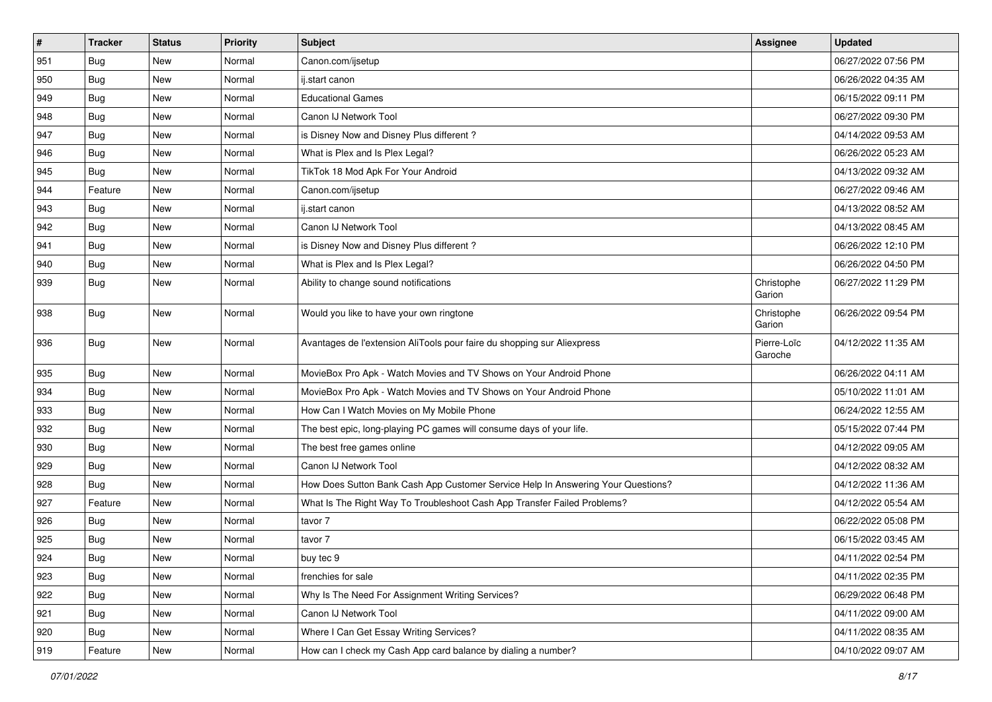| #   | <b>Tracker</b>   | <b>Status</b> | <b>Priority</b> | <b>Subject</b>                                                                   | <b>Assignee</b>        | <b>Updated</b>      |
|-----|------------------|---------------|-----------------|----------------------------------------------------------------------------------|------------------------|---------------------|
| 951 | <b>Bug</b>       | New           | Normal          | Canon.com/ijsetup                                                                |                        | 06/27/2022 07:56 PM |
| 950 | <b>Bug</b>       | New           | Normal          | ij.start canon                                                                   |                        | 06/26/2022 04:35 AM |
| 949 | <b>Bug</b>       | New           | Normal          | <b>Educational Games</b>                                                         |                        | 06/15/2022 09:11 PM |
| 948 | <b>Bug</b>       | New           | Normal          | Canon IJ Network Tool                                                            |                        | 06/27/2022 09:30 PM |
| 947 | Bug              | New           | Normal          | is Disney Now and Disney Plus different?                                         |                        | 04/14/2022 09:53 AM |
| 946 | Bug              | New           | Normal          | What is Plex and Is Plex Legal?                                                  |                        | 06/26/2022 05:23 AM |
| 945 | <b>Bug</b>       | New           | Normal          | TikTok 18 Mod Apk For Your Android                                               |                        | 04/13/2022 09:32 AM |
| 944 | Feature          | New           | Normal          | Canon.com/ijsetup                                                                |                        | 06/27/2022 09:46 AM |
| 943 | <b>Bug</b>       | New           | Normal          | ij.start canon                                                                   |                        | 04/13/2022 08:52 AM |
| 942 | Bug              | New           | Normal          | Canon IJ Network Tool                                                            |                        | 04/13/2022 08:45 AM |
| 941 | <b>Bug</b>       | New           | Normal          | is Disney Now and Disney Plus different?                                         |                        | 06/26/2022 12:10 PM |
| 940 | Bug              | New           | Normal          | What is Plex and Is Plex Legal?                                                  |                        | 06/26/2022 04:50 PM |
| 939 | Bug              | New           | Normal          | Ability to change sound notifications                                            | Christophe<br>Garion   | 06/27/2022 11:29 PM |
| 938 | <b>Bug</b>       | New           | Normal          | Would you like to have your own ringtone                                         | Christophe<br>Garion   | 06/26/2022 09:54 PM |
| 936 | <b>Bug</b>       | New           | Normal          | Avantages de l'extension AliTools pour faire du shopping sur Aliexpress          | Pierre-Loïc<br>Garoche | 04/12/2022 11:35 AM |
| 935 | Bug              | New           | Normal          | MovieBox Pro Apk - Watch Movies and TV Shows on Your Android Phone               |                        | 06/26/2022 04:11 AM |
| 934 | Bug              | New           | Normal          | MovieBox Pro Apk - Watch Movies and TV Shows on Your Android Phone               |                        | 05/10/2022 11:01 AM |
| 933 | Bug              | New           | Normal          | How Can I Watch Movies on My Mobile Phone                                        |                        | 06/24/2022 12:55 AM |
| 932 | <b>Bug</b>       | New           | Normal          | The best epic, long-playing PC games will consume days of your life.             |                        | 05/15/2022 07:44 PM |
| 930 | <b>Bug</b>       | New           | Normal          | The best free games online                                                       |                        | 04/12/2022 09:05 AM |
| 929 | <b>Bug</b>       | New           | Normal          | Canon IJ Network Tool                                                            |                        | 04/12/2022 08:32 AM |
| 928 | <b>Bug</b>       | New           | Normal          | How Does Sutton Bank Cash App Customer Service Help In Answering Your Questions? |                        | 04/12/2022 11:36 AM |
| 927 | Feature          | New           | Normal          | What Is The Right Way To Troubleshoot Cash App Transfer Failed Problems?         |                        | 04/12/2022 05:54 AM |
| 926 | <b>Bug</b>       | New           | Normal          | tavor 7                                                                          |                        | 06/22/2022 05:08 PM |
| 925 | <b>Bug</b>       | New           | Normal          | tavor 7                                                                          |                        | 06/15/2022 03:45 AM |
| 924 | <sub>I</sub> Bug | New           | Normal          | buy tec 9                                                                        |                        | 04/11/2022 02:54 PM |
| 923 | <b>Bug</b>       | New           | Normal          | frenchies for sale                                                               |                        | 04/11/2022 02:35 PM |
| 922 | Bug              | New           | Normal          | Why Is The Need For Assignment Writing Services?                                 |                        | 06/29/2022 06:48 PM |
| 921 | Bug              | New           | Normal          | Canon IJ Network Tool                                                            |                        | 04/11/2022 09:00 AM |
| 920 | <b>Bug</b>       | New           | Normal          | Where I Can Get Essay Writing Services?                                          |                        | 04/11/2022 08:35 AM |
| 919 | Feature          | New           | Normal          | How can I check my Cash App card balance by dialing a number?                    |                        | 04/10/2022 09:07 AM |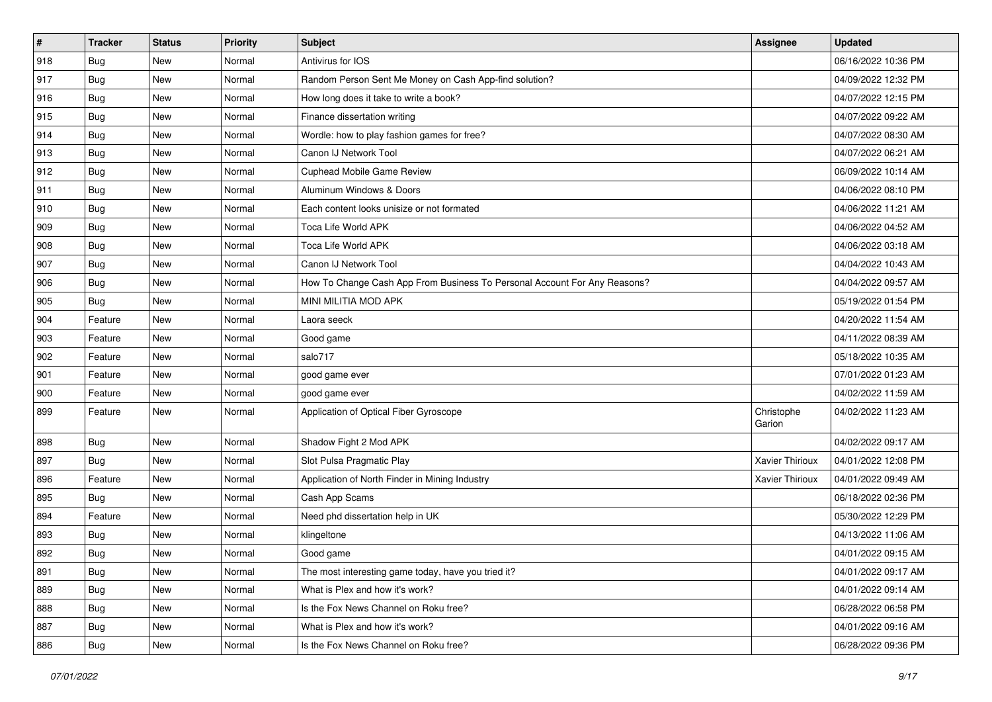| $\sharp$ | <b>Tracker</b> | <b>Status</b> | <b>Priority</b> | <b>Subject</b>                                                            | <b>Assignee</b>      | <b>Updated</b>      |
|----------|----------------|---------------|-----------------|---------------------------------------------------------------------------|----------------------|---------------------|
| 918      | <b>Bug</b>     | New           | Normal          | Antivirus for IOS                                                         |                      | 06/16/2022 10:36 PM |
| 917      | Bug            | New           | Normal          | Random Person Sent Me Money on Cash App-find solution?                    |                      | 04/09/2022 12:32 PM |
| 916      | Bug            | New           | Normal          | How long does it take to write a book?                                    |                      | 04/07/2022 12:15 PM |
| 915      | <b>Bug</b>     | New           | Normal          | Finance dissertation writing                                              |                      | 04/07/2022 09:22 AM |
| 914      | Bug            | New           | Normal          | Wordle: how to play fashion games for free?                               |                      | 04/07/2022 08:30 AM |
| 913      | Bug            | New           | Normal          | Canon IJ Network Tool                                                     |                      | 04/07/2022 06:21 AM |
| 912      | Bug            | New           | Normal          | Cuphead Mobile Game Review                                                |                      | 06/09/2022 10:14 AM |
| 911      | Bug            | New           | Normal          | Aluminum Windows & Doors                                                  |                      | 04/06/2022 08:10 PM |
| 910      | Bug            | New           | Normal          | Each content looks unisize or not formated                                |                      | 04/06/2022 11:21 AM |
| 909      | Bug            | New           | Normal          | Toca Life World APK                                                       |                      | 04/06/2022 04:52 AM |
| 908      | Bug            | New           | Normal          | Toca Life World APK                                                       |                      | 04/06/2022 03:18 AM |
| 907      | <b>Bug</b>     | New           | Normal          | Canon IJ Network Tool                                                     |                      | 04/04/2022 10:43 AM |
| 906      | Bug            | New           | Normal          | How To Change Cash App From Business To Personal Account For Any Reasons? |                      | 04/04/2022 09:57 AM |
| 905      | Bug            | New           | Normal          | MINI MILITIA MOD APK                                                      |                      | 05/19/2022 01:54 PM |
| 904      | Feature        | New           | Normal          | Laora seeck                                                               |                      | 04/20/2022 11:54 AM |
| 903      | Feature        | New           | Normal          | Good game                                                                 |                      | 04/11/2022 08:39 AM |
| 902      | Feature        | New           | Normal          | salo717                                                                   |                      | 05/18/2022 10:35 AM |
| 901      | Feature        | New           | Normal          | good game ever                                                            |                      | 07/01/2022 01:23 AM |
| 900      | Feature        | New           | Normal          | good game ever                                                            |                      | 04/02/2022 11:59 AM |
| 899      | Feature        | New           | Normal          | Application of Optical Fiber Gyroscope                                    | Christophe<br>Garion | 04/02/2022 11:23 AM |
| 898      | <b>Bug</b>     | New           | Normal          | Shadow Fight 2 Mod APK                                                    |                      | 04/02/2022 09:17 AM |
| 897      | Bug            | New           | Normal          | Slot Pulsa Pragmatic Play                                                 | Xavier Thirioux      | 04/01/2022 12:08 PM |
| 896      | Feature        | New           | Normal          | Application of North Finder in Mining Industry                            | Xavier Thirioux      | 04/01/2022 09:49 AM |
| 895      | Bug            | New           | Normal          | Cash App Scams                                                            |                      | 06/18/2022 02:36 PM |
| 894      | Feature        | New           | Normal          | Need phd dissertation help in UK                                          |                      | 05/30/2022 12:29 PM |
| 893      | <b>Bug</b>     | New           | Normal          | klingeltone                                                               |                      | 04/13/2022 11:06 AM |
| 892      | <b>Bug</b>     | New           | Normal          | Good game                                                                 |                      | 04/01/2022 09:15 AM |
| 891      | <b>Bug</b>     | New           | Normal          | The most interesting game today, have you tried it?                       |                      | 04/01/2022 09:17 AM |
| 889      | <b>Bug</b>     | New           | Normal          | What is Plex and how it's work?                                           |                      | 04/01/2022 09:14 AM |
| 888      | <b>Bug</b>     | New           | Normal          | Is the Fox News Channel on Roku free?                                     |                      | 06/28/2022 06:58 PM |
| 887      | <b>Bug</b>     | New           | Normal          | What is Plex and how it's work?                                           |                      | 04/01/2022 09:16 AM |
| 886      | <b>Bug</b>     | New           | Normal          | Is the Fox News Channel on Roku free?                                     |                      | 06/28/2022 09:36 PM |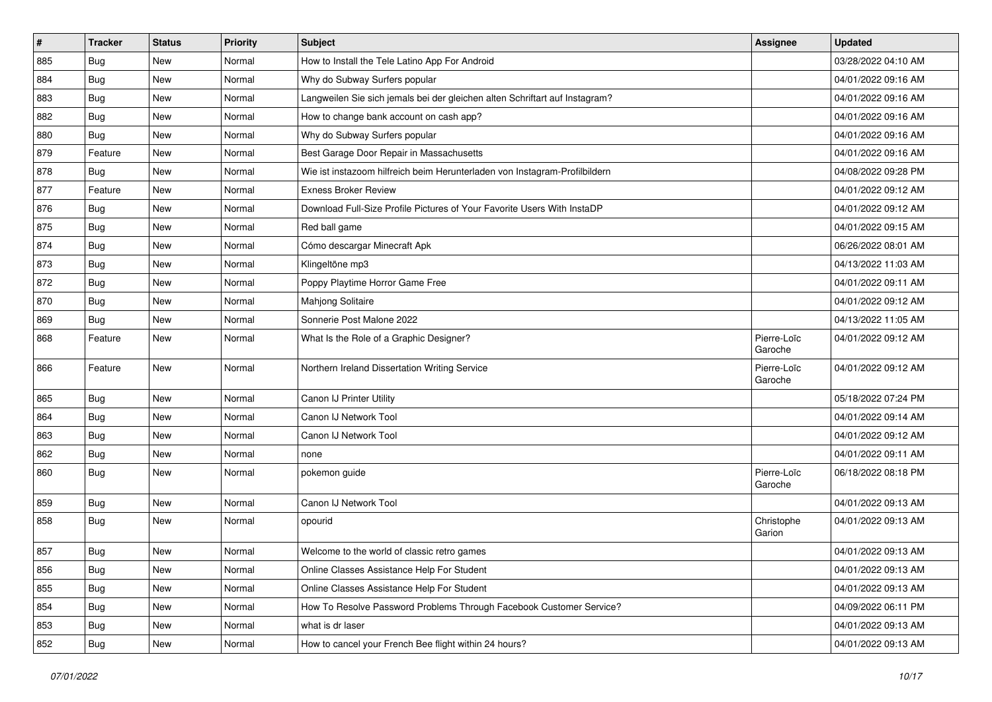| $\vert$ # | <b>Tracker</b> | <b>Status</b> | <b>Priority</b> | Subject                                                                     | Assignee               | <b>Updated</b>      |
|-----------|----------------|---------------|-----------------|-----------------------------------------------------------------------------|------------------------|---------------------|
| 885       | Bug            | New           | Normal          | How to Install the Tele Latino App For Android                              |                        | 03/28/2022 04:10 AM |
| 884       | Bug            | <b>New</b>    | Normal          | Why do Subway Surfers popular                                               |                        | 04/01/2022 09:16 AM |
| 883       | Bug            | New           | Normal          | Langweilen Sie sich jemals bei der gleichen alten Schriftart auf Instagram? |                        | 04/01/2022 09:16 AM |
| 882       | Bug            | New           | Normal          | How to change bank account on cash app?                                     |                        | 04/01/2022 09:16 AM |
| 880       | Bug            | New           | Normal          | Why do Subway Surfers popular                                               |                        | 04/01/2022 09:16 AM |
| 879       | Feature        | New           | Normal          | Best Garage Door Repair in Massachusetts                                    |                        | 04/01/2022 09:16 AM |
| 878       | <b>Bug</b>     | New           | Normal          | Wie ist instazoom hilfreich beim Herunterladen von Instagram-Profilbildern  |                        | 04/08/2022 09:28 PM |
| 877       | Feature        | New           | Normal          | Exness Broker Review                                                        |                        | 04/01/2022 09:12 AM |
| 876       | Bug            | New           | Normal          | Download Full-Size Profile Pictures of Your Favorite Users With InstaDP     |                        | 04/01/2022 09:12 AM |
| 875       | Bug            | New           | Normal          | Red ball game                                                               |                        | 04/01/2022 09:15 AM |
| 874       | <b>Bug</b>     | New           | Normal          | Cómo descargar Minecraft Apk                                                |                        | 06/26/2022 08:01 AM |
| 873       | Bug            | New           | Normal          | Klingeltöne mp3                                                             |                        | 04/13/2022 11:03 AM |
| 872       | Bug            | New           | Normal          | Poppy Playtime Horror Game Free                                             |                        | 04/01/2022 09:11 AM |
| 870       | Bug            | New           | Normal          | Mahjong Solitaire                                                           |                        | 04/01/2022 09:12 AM |
| 869       | Bug            | New           | Normal          | Sonnerie Post Malone 2022                                                   |                        | 04/13/2022 11:05 AM |
| 868       | Feature        | New           | Normal          | What Is the Role of a Graphic Designer?                                     | Pierre-Loïc<br>Garoche | 04/01/2022 09:12 AM |
| 866       | Feature        | New           | Normal          | Northern Ireland Dissertation Writing Service                               | Pierre-Loïc<br>Garoche | 04/01/2022 09:12 AM |
| 865       | Bug            | New           | Normal          | Canon IJ Printer Utility                                                    |                        | 05/18/2022 07:24 PM |
| 864       | <b>Bug</b>     | New           | Normal          | Canon IJ Network Tool                                                       |                        | 04/01/2022 09:14 AM |
| 863       | Bug            | New           | Normal          | Canon IJ Network Tool                                                       |                        | 04/01/2022 09:12 AM |
| 862       | <b>Bug</b>     | New           | Normal          | none                                                                        |                        | 04/01/2022 09:11 AM |
| 860       | <b>Bug</b>     | New           | Normal          | pokemon guide                                                               | Pierre-Loïc<br>Garoche | 06/18/2022 08:18 PM |
| 859       | <b>Bug</b>     | New           | Normal          | Canon IJ Network Tool                                                       |                        | 04/01/2022 09:13 AM |
| 858       | <b>Bug</b>     | New           | Normal          | opourid                                                                     | Christophe<br>Garion   | 04/01/2022 09:13 AM |
| 857       | Bug            | New           | Normal          | Welcome to the world of classic retro games                                 |                        | 04/01/2022 09:13 AM |
| 856       | <b>Bug</b>     | New           | Normal          | Online Classes Assistance Help For Student                                  |                        | 04/01/2022 09:13 AM |
| 855       | <b>Bug</b>     | New           | Normal          | Online Classes Assistance Help For Student                                  |                        | 04/01/2022 09:13 AM |
| 854       | <b>Bug</b>     | New           | Normal          | How To Resolve Password Problems Through Facebook Customer Service?         |                        | 04/09/2022 06:11 PM |
| 853       | <b>Bug</b>     | New           | Normal          | what is dr laser                                                            |                        | 04/01/2022 09:13 AM |
| 852       | <b>Bug</b>     | New           | Normal          | How to cancel your French Bee flight within 24 hours?                       |                        | 04/01/2022 09:13 AM |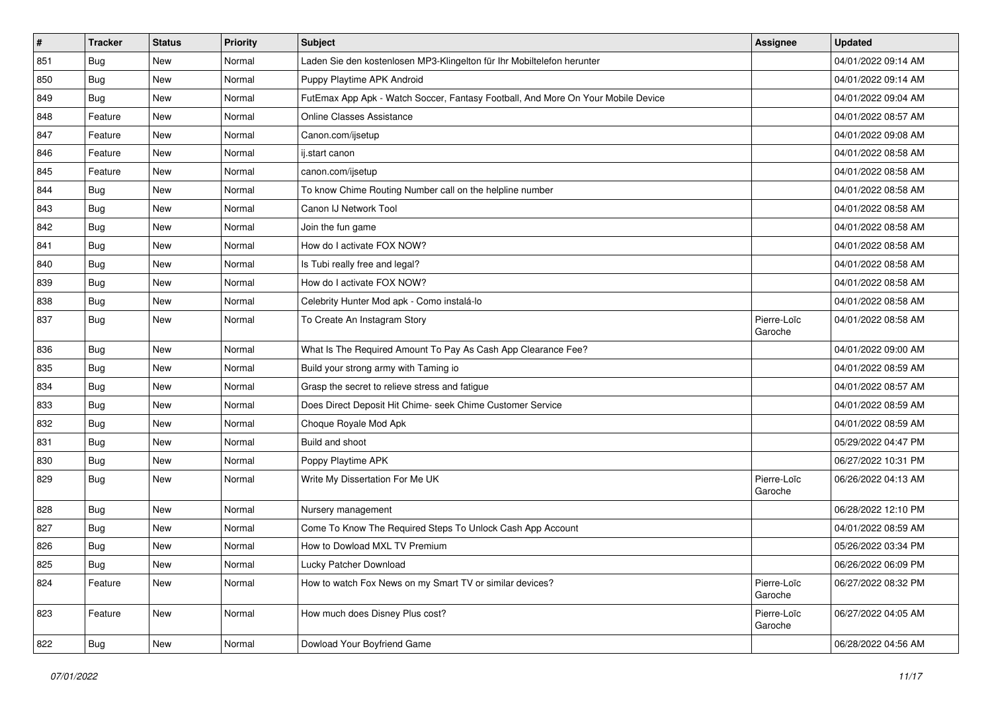| $\vert$ # | <b>Tracker</b> | <b>Status</b> | <b>Priority</b> | <b>Subject</b>                                                                   | <b>Assignee</b>        | <b>Updated</b>      |
|-----------|----------------|---------------|-----------------|----------------------------------------------------------------------------------|------------------------|---------------------|
| 851       | <b>Bug</b>     | New           | Normal          | Laden Sie den kostenlosen MP3-Klingelton für Ihr Mobiltelefon herunter           |                        | 04/01/2022 09:14 AM |
| 850       | Bug            | <b>New</b>    | Normal          | Puppy Playtime APK Android                                                       |                        | 04/01/2022 09:14 AM |
| 849       | <b>Bug</b>     | New           | Normal          | FutEmax App Apk - Watch Soccer, Fantasy Football, And More On Your Mobile Device |                        | 04/01/2022 09:04 AM |
| 848       | Feature        | New           | Normal          | <b>Online Classes Assistance</b>                                                 |                        | 04/01/2022 08:57 AM |
| 847       | Feature        | New           | Normal          | Canon.com/ijsetup                                                                |                        | 04/01/2022 09:08 AM |
| 846       | Feature        | New           | Normal          | ij.start canon                                                                   |                        | 04/01/2022 08:58 AM |
| 845       | Feature        | New           | Normal          | canon.com/ijsetup                                                                |                        | 04/01/2022 08:58 AM |
| 844       | Bug            | New           | Normal          | To know Chime Routing Number call on the helpline number                         |                        | 04/01/2022 08:58 AM |
| 843       | <b>Bug</b>     | New           | Normal          | Canon IJ Network Tool                                                            |                        | 04/01/2022 08:58 AM |
| 842       | Bug            | New           | Normal          | Join the fun game                                                                |                        | 04/01/2022 08:58 AM |
| 841       | Bug            | New           | Normal          | How do I activate FOX NOW?                                                       |                        | 04/01/2022 08:58 AM |
| 840       | Bug            | New           | Normal          | Is Tubi really free and legal?                                                   |                        | 04/01/2022 08:58 AM |
| 839       | Bug            | New           | Normal          | How do I activate FOX NOW?                                                       |                        | 04/01/2022 08:58 AM |
| 838       | Bug            | New           | Normal          | Celebrity Hunter Mod apk - Como instalá-lo                                       |                        | 04/01/2022 08:58 AM |
| 837       | <b>Bug</b>     | New           | Normal          | To Create An Instagram Story                                                     | Pierre-Loïc<br>Garoche | 04/01/2022 08:58 AM |
| 836       | <b>Bug</b>     | New           | Normal          | What Is The Required Amount To Pay As Cash App Clearance Fee?                    |                        | 04/01/2022 09:00 AM |
| 835       | Bug            | New           | Normal          | Build your strong army with Taming io                                            |                        | 04/01/2022 08:59 AM |
| 834       | Bug            | New           | Normal          | Grasp the secret to relieve stress and fatigue                                   |                        | 04/01/2022 08:57 AM |
| 833       | <b>Bug</b>     | New           | Normal          | Does Direct Deposit Hit Chime- seek Chime Customer Service                       |                        | 04/01/2022 08:59 AM |
| 832       | Bug            | New           | Normal          | Choque Royale Mod Apk                                                            |                        | 04/01/2022 08:59 AM |
| 831       | Bug            | New           | Normal          | Build and shoot                                                                  |                        | 05/29/2022 04:47 PM |
| 830       | Bug            | New           | Normal          | Poppy Playtime APK                                                               |                        | 06/27/2022 10:31 PM |
| 829       | Bug            | New           | Normal          | Write My Dissertation For Me UK                                                  | Pierre-Loïc<br>Garoche | 06/26/2022 04:13 AM |
| 828       | Bug            | New           | Normal          | Nursery management                                                               |                        | 06/28/2022 12:10 PM |
| 827       | Bug            | New           | Normal          | Come To Know The Required Steps To Unlock Cash App Account                       |                        | 04/01/2022 08:59 AM |
| 826       | <b>Bug</b>     | New           | Normal          | How to Dowload MXL TV Premium                                                    |                        | 05/26/2022 03:34 PM |
| 825       | Bug            | New           | Normal          | Lucky Patcher Download                                                           |                        | 06/26/2022 06:09 PM |
| 824       | Feature        | New           | Normal          | How to watch Fox News on my Smart TV or similar devices?                         | Pierre-Loïc<br>Garoche | 06/27/2022 08:32 PM |
| 823       | Feature        | New           | Normal          | How much does Disney Plus cost?                                                  | Pierre-Loïc<br>Garoche | 06/27/2022 04:05 AM |
| 822       | <b>Bug</b>     | New           | Normal          | Dowload Your Boyfriend Game                                                      |                        | 06/28/2022 04:56 AM |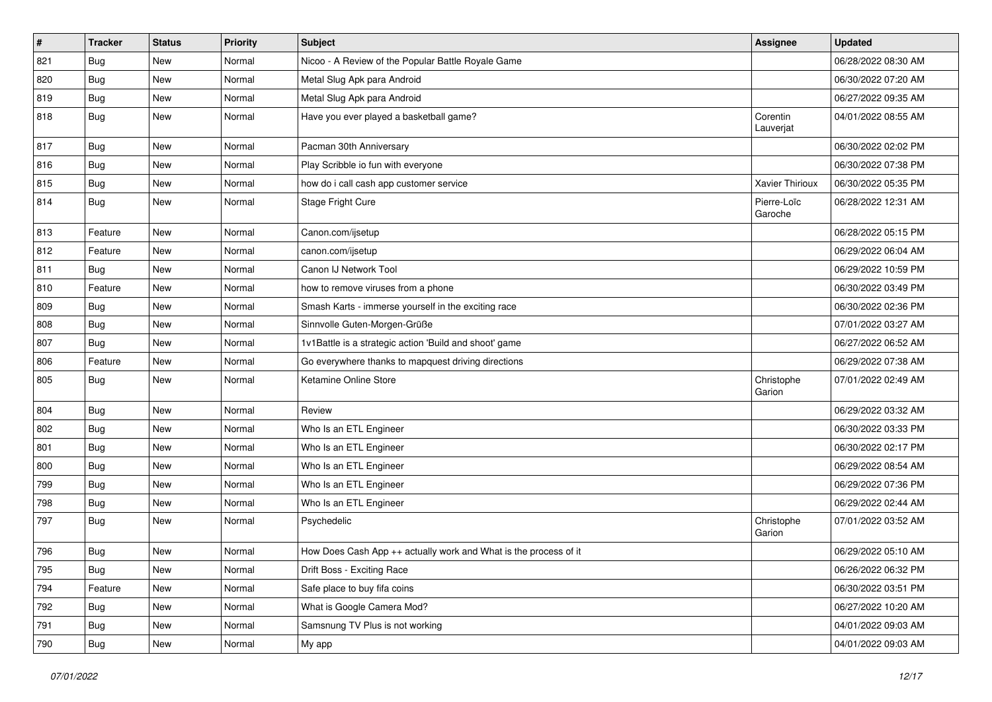| $\vert$ # | <b>Tracker</b> | <b>Status</b> | <b>Priority</b> | <b>Subject</b>                                                   | Assignee               | <b>Updated</b>      |
|-----------|----------------|---------------|-----------------|------------------------------------------------------------------|------------------------|---------------------|
| 821       | <b>Bug</b>     | New           | Normal          | Nicoo - A Review of the Popular Battle Royale Game               |                        | 06/28/2022 08:30 AM |
| 820       | Bug            | <b>New</b>    | Normal          | Metal Slug Apk para Android                                      |                        | 06/30/2022 07:20 AM |
| 819       | Bug            | New           | Normal          | Metal Slug Apk para Android                                      |                        | 06/27/2022 09:35 AM |
| 818       | <b>Bug</b>     | New           | Normal          | Have you ever played a basketball game?                          | Corentin<br>Lauverjat  | 04/01/2022 08:55 AM |
| 817       | Bug            | New           | Normal          | Pacman 30th Anniversary                                          |                        | 06/30/2022 02:02 PM |
| 816       | <b>Bug</b>     | New           | Normal          | Play Scribble io fun with everyone                               |                        | 06/30/2022 07:38 PM |
| 815       | Bug            | New           | Normal          | how do i call cash app customer service                          | <b>Xavier Thirioux</b> | 06/30/2022 05:35 PM |
| 814       | <b>Bug</b>     | New           | Normal          | Stage Fright Cure                                                | Pierre-Loïc<br>Garoche | 06/28/2022 12:31 AM |
| 813       | Feature        | New           | Normal          | Canon.com/ijsetup                                                |                        | 06/28/2022 05:15 PM |
| 812       | Feature        | New           | Normal          | canon.com/ijsetup                                                |                        | 06/29/2022 06:04 AM |
| 811       | Bug            | New           | Normal          | Canon IJ Network Tool                                            |                        | 06/29/2022 10:59 PM |
| 810       | Feature        | New           | Normal          | how to remove viruses from a phone                               |                        | 06/30/2022 03:49 PM |
| 809       | <b>Bug</b>     | New           | Normal          | Smash Karts - immerse yourself in the exciting race              |                        | 06/30/2022 02:36 PM |
| 808       | <b>Bug</b>     | New           | Normal          | Sinnvolle Guten-Morgen-Grüße                                     |                        | 07/01/2022 03:27 AM |
| 807       | Bug            | New           | Normal          | 1v1Battle is a strategic action 'Build and shoot' game           |                        | 06/27/2022 06:52 AM |
| 806       | Feature        | New           | Normal          | Go everywhere thanks to mapquest driving directions              |                        | 06/29/2022 07:38 AM |
| 805       | Bug            | New           | Normal          | Ketamine Online Store                                            | Christophe<br>Garion   | 07/01/2022 02:49 AM |
| 804       | Bug            | <b>New</b>    | Normal          | Review                                                           |                        | 06/29/2022 03:32 AM |
| 802       | Bug            | New           | Normal          | Who Is an ETL Engineer                                           |                        | 06/30/2022 03:33 PM |
| 801       | Bug            | New           | Normal          | Who Is an ETL Engineer                                           |                        | 06/30/2022 02:17 PM |
| 800       | Bug            | New           | Normal          | Who Is an ETL Engineer                                           |                        | 06/29/2022 08:54 AM |
| 799       | <b>Bug</b>     | New           | Normal          | Who Is an ETL Engineer                                           |                        | 06/29/2022 07:36 PM |
| 798       | Bug            | New           | Normal          | Who Is an ETL Engineer                                           |                        | 06/29/2022 02:44 AM |
| 797       | <b>Bug</b>     | New           | Normal          | Psychedelic                                                      | Christophe<br>Garion   | 07/01/2022 03:52 AM |
| 796       | <b>Bug</b>     | New           | Normal          | How Does Cash App ++ actually work and What is the process of it |                        | 06/29/2022 05:10 AM |
| 795       | Bug            | New           | Normal          | Drift Boss - Exciting Race                                       |                        | 06/26/2022 06:32 PM |
| 794       | Feature        | New           | Normal          | Safe place to buy fifa coins                                     |                        | 06/30/2022 03:51 PM |
| 792       | Bug            | New           | Normal          | What is Google Camera Mod?                                       |                        | 06/27/2022 10:20 AM |
| 791       | <b>Bug</b>     | New           | Normal          | Samsnung TV Plus is not working                                  |                        | 04/01/2022 09:03 AM |
| 790       | <b>Bug</b>     | New           | Normal          | My app                                                           |                        | 04/01/2022 09:03 AM |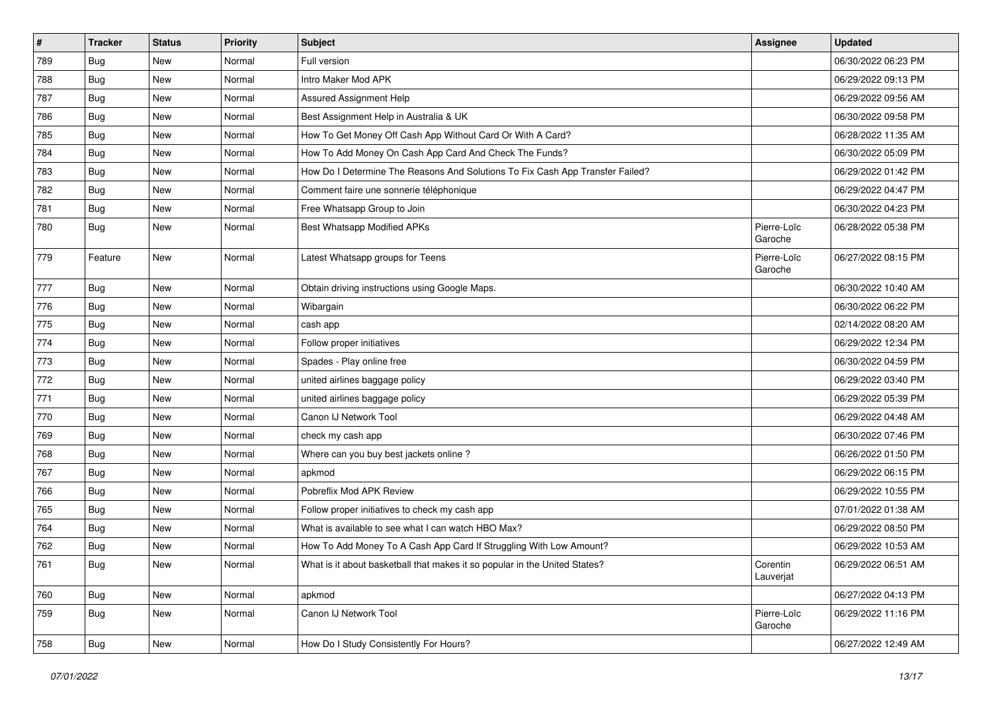| $\vert$ # | <b>Tracker</b> | <b>Status</b> | <b>Priority</b> | <b>Subject</b>                                                                | Assignee               | <b>Updated</b>      |
|-----------|----------------|---------------|-----------------|-------------------------------------------------------------------------------|------------------------|---------------------|
| 789       | <b>Bug</b>     | New           | Normal          | Full version                                                                  |                        | 06/30/2022 06:23 PM |
| 788       | Bug            | New           | Normal          | Intro Maker Mod APK                                                           |                        | 06/29/2022 09:13 PM |
| 787       | Bug            | New           | Normal          | Assured Assignment Help                                                       |                        | 06/29/2022 09:56 AM |
| 786       | <b>Bug</b>     | New           | Normal          | Best Assignment Help in Australia & UK                                        |                        | 06/30/2022 09:58 PM |
| 785       | Bug            | New           | Normal          | How To Get Money Off Cash App Without Card Or With A Card?                    |                        | 06/28/2022 11:35 AM |
| 784       | Bug            | New           | Normal          | How To Add Money On Cash App Card And Check The Funds?                        |                        | 06/30/2022 05:09 PM |
| 783       | Bug            | New           | Normal          | How Do I Determine The Reasons And Solutions To Fix Cash App Transfer Failed? |                        | 06/29/2022 01:42 PM |
| 782       | <b>Bug</b>     | New           | Normal          | Comment faire une sonnerie téléphonique                                       |                        | 06/29/2022 04:47 PM |
| 781       | Bug            | New           | Normal          | Free Whatsapp Group to Join                                                   |                        | 06/30/2022 04:23 PM |
| 780       | <b>Bug</b>     | New           | Normal          | Best Whatsapp Modified APKs                                                   | Pierre-Loïc<br>Garoche | 06/28/2022 05:38 PM |
| 779       | Feature        | New           | Normal          | Latest Whatsapp groups for Teens                                              | Pierre-Loïc<br>Garoche | 06/27/2022 08:15 PM |
| 777       | Bug            | New           | Normal          | Obtain driving instructions using Google Maps.                                |                        | 06/30/2022 10:40 AM |
| 776       | Bug            | New           | Normal          | Wibargain                                                                     |                        | 06/30/2022 06:22 PM |
| 775       | Bug            | New           | Normal          | cash app                                                                      |                        | 02/14/2022 08:20 AM |
| 774       | <b>Bug</b>     | New           | Normal          | Follow proper initiatives                                                     |                        | 06/29/2022 12:34 PM |
| 773       | Bug            | New           | Normal          | Spades - Play online free                                                     |                        | 06/30/2022 04:59 PM |
| 772       | Bug            | New           | Normal          | united airlines baggage policy                                                |                        | 06/29/2022 03:40 PM |
| 771       | Bug            | New           | Normal          | united airlines baggage policy                                                |                        | 06/29/2022 05:39 PM |
| 770       | <b>Bug</b>     | New           | Normal          | Canon IJ Network Tool                                                         |                        | 06/29/2022 04:48 AM |
| 769       | <b>Bug</b>     | New           | Normal          | check my cash app                                                             |                        | 06/30/2022 07:46 PM |
| 768       | Bug            | New           | Normal          | Where can you buy best jackets online?                                        |                        | 06/26/2022 01:50 PM |
| 767       | Bug            | New           | Normal          | apkmod                                                                        |                        | 06/29/2022 06:15 PM |
| 766       | Bug            | New           | Normal          | Pobreflix Mod APK Review                                                      |                        | 06/29/2022 10:55 PM |
| 765       | <b>Bug</b>     | New           | Normal          | Follow proper initiatives to check my cash app                                |                        | 07/01/2022 01:38 AM |
| 764       | <b>Bug</b>     | New           | Normal          | What is available to see what I can watch HBO Max?                            |                        | 06/29/2022 08:50 PM |
| 762       | Bug            | New           | Normal          | How To Add Money To A Cash App Card If Struggling With Low Amount?            |                        | 06/29/2022 10:53 AM |
| 761       | <b>Bug</b>     | New           | Normal          | What is it about basketball that makes it so popular in the United States?    | Corentin<br>Lauverjat  | 06/29/2022 06:51 AM |
| 760       | <b>Bug</b>     | New           | Normal          | apkmod                                                                        |                        | 06/27/2022 04:13 PM |
| 759       | <b>Bug</b>     | New           | Normal          | Canon IJ Network Tool                                                         | Pierre-Loïc<br>Garoche | 06/29/2022 11:16 PM |
| 758       | Bug            | New           | Normal          | How Do I Study Consistently For Hours?                                        |                        | 06/27/2022 12:49 AM |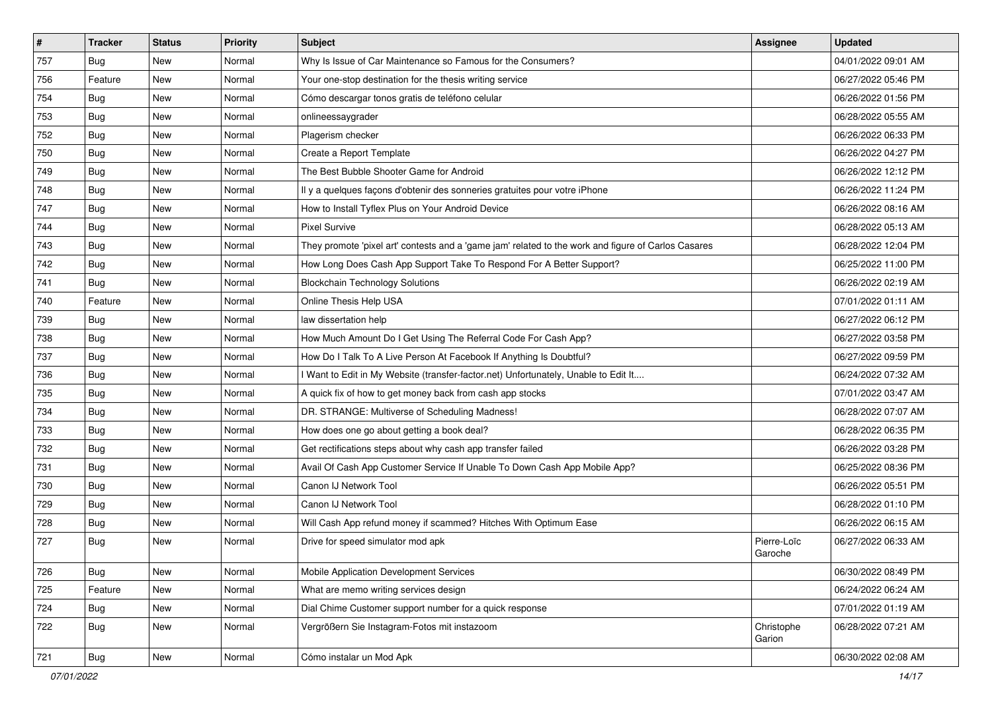| $\vert$ # | <b>Tracker</b> | <b>Status</b> | Priority | Subject                                                                                             | Assignee               | <b>Updated</b>      |
|-----------|----------------|---------------|----------|-----------------------------------------------------------------------------------------------------|------------------------|---------------------|
| 757       | <b>Bug</b>     | New           | Normal   | Why Is Issue of Car Maintenance so Famous for the Consumers?                                        |                        | 04/01/2022 09:01 AM |
| 756       | Feature        | New           | Normal   | Your one-stop destination for the thesis writing service                                            |                        | 06/27/2022 05:46 PM |
| 754       | Bug            | New           | Normal   | Cómo descargar tonos gratis de teléfono celular                                                     |                        | 06/26/2022 01:56 PM |
| 753       | <b>Bug</b>     | New           | Normal   | onlineessaygrader                                                                                   |                        | 06/28/2022 05:55 AM |
| 752       | Bug            | New           | Normal   | Plagerism checker                                                                                   |                        | 06/26/2022 06:33 PM |
| 750       | <b>Bug</b>     | New           | Normal   | Create a Report Template                                                                            |                        | 06/26/2022 04:27 PM |
| 749       | <b>Bug</b>     | New           | Normal   | The Best Bubble Shooter Game for Android                                                            |                        | 06/26/2022 12:12 PM |
| 748       | <b>Bug</b>     | New           | Normal   | Il y a quelques façons d'obtenir des sonneries gratuites pour votre iPhone                          |                        | 06/26/2022 11:24 PM |
| 747       | <b>Bug</b>     | New           | Normal   | How to Install Tyflex Plus on Your Android Device                                                   |                        | 06/26/2022 08:16 AM |
| 744       | Bug            | New           | Normal   | <b>Pixel Survive</b>                                                                                |                        | 06/28/2022 05:13 AM |
| 743       | <b>Bug</b>     | New           | Normal   | They promote 'pixel art' contests and a 'game jam' related to the work and figure of Carlos Casares |                        | 06/28/2022 12:04 PM |
| 742       | <b>Bug</b>     | New           | Normal   | How Long Does Cash App Support Take To Respond For A Better Support?                                |                        | 06/25/2022 11:00 PM |
| 741       | Bug            | New           | Normal   | <b>Blockchain Technology Solutions</b>                                                              |                        | 06/26/2022 02:19 AM |
| 740       | Feature        | New           | Normal   | Online Thesis Help USA                                                                              |                        | 07/01/2022 01:11 AM |
| 739       | Bug            | <b>New</b>    | Normal   | law dissertation help                                                                               |                        | 06/27/2022 06:12 PM |
| 738       | <b>Bug</b>     | New           | Normal   | How Much Amount Do I Get Using The Referral Code For Cash App?                                      |                        | 06/27/2022 03:58 PM |
| 737       | <b>Bug</b>     | New           | Normal   | How Do I Talk To A Live Person At Facebook If Anything Is Doubtful?                                 |                        | 06/27/2022 09:59 PM |
| 736       | Bug            | New           | Normal   | I Want to Edit in My Website (transfer-factor.net) Unfortunately, Unable to Edit It                 |                        | 06/24/2022 07:32 AM |
| 735       | Bug            | New           | Normal   | A quick fix of how to get money back from cash app stocks                                           |                        | 07/01/2022 03:47 AM |
| 734       | <b>Bug</b>     | New           | Normal   | DR. STRANGE: Multiverse of Scheduling Madness!                                                      |                        | 06/28/2022 07:07 AM |
| 733       | <b>Bug</b>     | New           | Normal   | How does one go about getting a book deal?                                                          |                        | 06/28/2022 06:35 PM |
| 732       | <b>Bug</b>     | New           | Normal   | Get rectifications steps about why cash app transfer failed                                         |                        | 06/26/2022 03:28 PM |
| 731       | <b>Bug</b>     | New           | Normal   | Avail Of Cash App Customer Service If Unable To Down Cash App Mobile App?                           |                        | 06/25/2022 08:36 PM |
| 730       | <b>Bug</b>     | New           | Normal   | Canon IJ Network Tool                                                                               |                        | 06/26/2022 05:51 PM |
| 729       | <b>Bug</b>     | New           | Normal   | Canon IJ Network Tool                                                                               |                        | 06/28/2022 01:10 PM |
| 728       | <b>Bug</b>     | New           | Normal   | Will Cash App refund money if scammed? Hitches With Optimum Ease                                    |                        | 06/26/2022 06:15 AM |
| 727       | <b>Bug</b>     | New           | Normal   | Drive for speed simulator mod apk                                                                   | Pierre-Loïc<br>Garoche | 06/27/2022 06:33 AM |
| 726       | <b>Bug</b>     | New           | Normal   | Mobile Application Development Services                                                             |                        | 06/30/2022 08:49 PM |
| 725       | Feature        | New           | Normal   | What are memo writing services design                                                               |                        | 06/24/2022 06:24 AM |
| 724       | <b>Bug</b>     | New           | Normal   | Dial Chime Customer support number for a quick response                                             |                        | 07/01/2022 01:19 AM |
| 722       | <b>Bug</b>     | New           | Normal   | Vergrößern Sie Instagram-Fotos mit instazoom                                                        | Christophe<br>Garion   | 06/28/2022 07:21 AM |
| 721       | Bug            | New           | Normal   | Cómo instalar un Mod Apk                                                                            |                        | 06/30/2022 02:08 AM |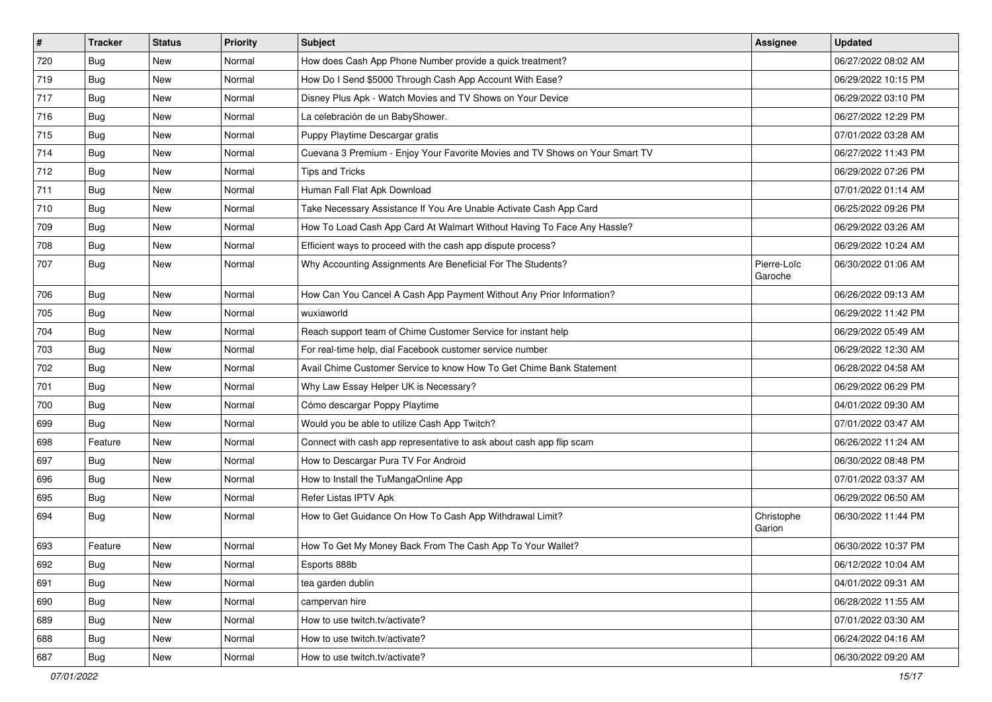| $\vert$ # | <b>Tracker</b> | <b>Status</b> | <b>Priority</b> | Subject                                                                      | Assignee               | <b>Updated</b>      |
|-----------|----------------|---------------|-----------------|------------------------------------------------------------------------------|------------------------|---------------------|
| 720       | <b>Bug</b>     | New           | Normal          | How does Cash App Phone Number provide a quick treatment?                    |                        | 06/27/2022 08:02 AM |
| 719       | Bug            | New           | Normal          | How Do I Send \$5000 Through Cash App Account With Ease?                     |                        | 06/29/2022 10:15 PM |
| 717       | Bug            | New           | Normal          | Disney Plus Apk - Watch Movies and TV Shows on Your Device                   |                        | 06/29/2022 03:10 PM |
| 716       | <b>Bug</b>     | New           | Normal          | La celebración de un BabyShower.                                             |                        | 06/27/2022 12:29 PM |
| 715       | Bug            | New           | Normal          | Puppy Playtime Descargar gratis                                              |                        | 07/01/2022 03:28 AM |
| 714       | <b>Bug</b>     | New           | Normal          | Cuevana 3 Premium - Enjoy Your Favorite Movies and TV Shows on Your Smart TV |                        | 06/27/2022 11:43 PM |
| 712       | <b>Bug</b>     | New           | Normal          | Tips and Tricks                                                              |                        | 06/29/2022 07:26 PM |
| 711       | <b>Bug</b>     | New           | Normal          | Human Fall Flat Apk Download                                                 |                        | 07/01/2022 01:14 AM |
| 710       | <b>Bug</b>     | New           | Normal          | Take Necessary Assistance If You Are Unable Activate Cash App Card           |                        | 06/25/2022 09:26 PM |
| 709       | <b>Bug</b>     | New           | Normal          | How To Load Cash App Card At Walmart Without Having To Face Any Hassle?      |                        | 06/29/2022 03:26 AM |
| 708       | <b>Bug</b>     | New           | Normal          | Efficient ways to proceed with the cash app dispute process?                 |                        | 06/29/2022 10:24 AM |
| 707       | <b>Bug</b>     | New           | Normal          | Why Accounting Assignments Are Beneficial For The Students?                  | Pierre-Loïc<br>Garoche | 06/30/2022 01:06 AM |
| 706       | Bug            | New           | Normal          | How Can You Cancel A Cash App Payment Without Any Prior Information?         |                        | 06/26/2022 09:13 AM |
| 705       | Bug            | New           | Normal          | wuxiaworld                                                                   |                        | 06/29/2022 11:42 PM |
| 704       | <b>Bug</b>     | New           | Normal          | Reach support team of Chime Customer Service for instant help                |                        | 06/29/2022 05:49 AM |
| 703       | Bug            | New           | Normal          | For real-time help, dial Facebook customer service number                    |                        | 06/29/2022 12:30 AM |
| 702       | Bug            | New           | Normal          | Avail Chime Customer Service to know How To Get Chime Bank Statement         |                        | 06/28/2022 04:58 AM |
| 701       | Bug            | New           | Normal          | Why Law Essay Helper UK is Necessary?                                        |                        | 06/29/2022 06:29 PM |
| 700       | Bug            | New           | Normal          | Cómo descargar Poppy Playtime                                                |                        | 04/01/2022 09:30 AM |
| 699       | Bug            | New           | Normal          | Would you be able to utilize Cash App Twitch?                                |                        | 07/01/2022 03:47 AM |
| 698       | Feature        | New           | Normal          | Connect with cash app representative to ask about cash app flip scam         |                        | 06/26/2022 11:24 AM |
| 697       | Bug            | New           | Normal          | How to Descargar Pura TV For Android                                         |                        | 06/30/2022 08:48 PM |
| 696       | <b>Bug</b>     | New           | Normal          | How to Install the TuMangaOnline App                                         |                        | 07/01/2022 03:37 AM |
| 695       | <b>Bug</b>     | New           | Normal          | Refer Listas IPTV Apk                                                        |                        | 06/29/2022 06:50 AM |
| 694       | Bug            | New           | Normal          | How to Get Guidance On How To Cash App Withdrawal Limit?                     | Christophe<br>Garion   | 06/30/2022 11:44 PM |
| 693       | Feature        | New           | Normal          | How To Get My Money Back From The Cash App To Your Wallet?                   |                        | 06/30/2022 10:37 PM |
| 692       | Bug            | New           | Normal          | Esports 888b                                                                 |                        | 06/12/2022 10:04 AM |
| 691       | <b>Bug</b>     | New           | Normal          | tea garden dublin                                                            |                        | 04/01/2022 09:31 AM |
| 690       | Bug            | New           | Normal          | campervan hire                                                               |                        | 06/28/2022 11:55 AM |
| 689       | Bug            | New           | Normal          | How to use twitch.tv/activate?                                               |                        | 07/01/2022 03:30 AM |
| 688       | Bug            | New           | Normal          | How to use twitch.tv/activate?                                               |                        | 06/24/2022 04:16 AM |
| 687       | <b>Bug</b>     | New           | Normal          | How to use twitch.tv/activate?                                               |                        | 06/30/2022 09:20 AM |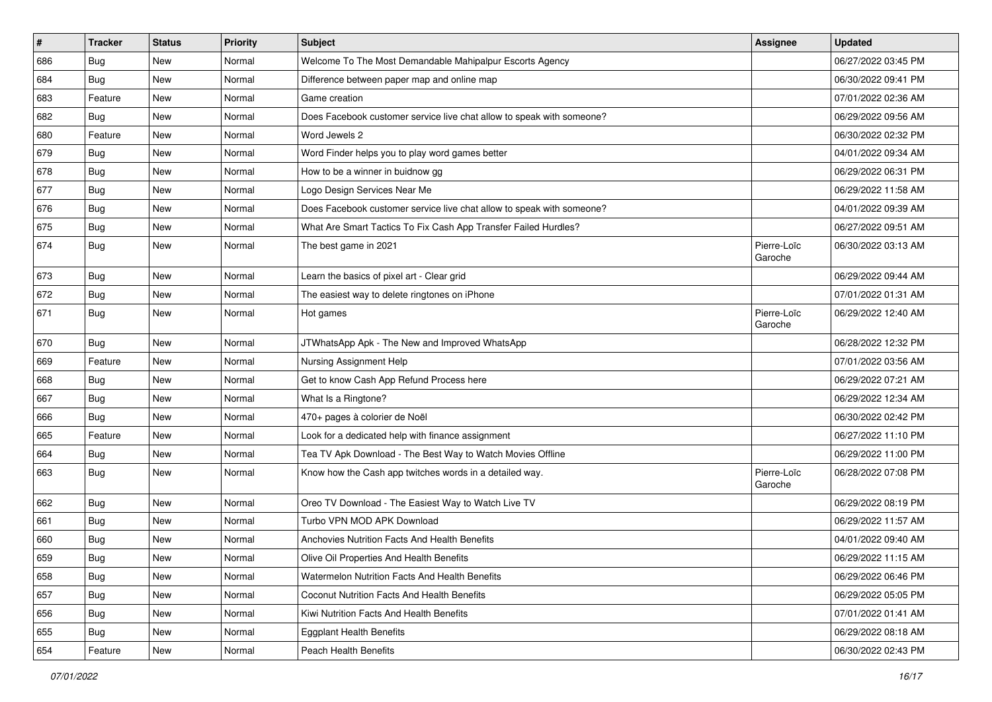| $\vert$ # | <b>Tracker</b> | <b>Status</b> | <b>Priority</b> | <b>Subject</b>                                                        | <b>Assignee</b>        | <b>Updated</b>      |
|-----------|----------------|---------------|-----------------|-----------------------------------------------------------------------|------------------------|---------------------|
| 686       | <b>Bug</b>     | New           | Normal          | Welcome To The Most Demandable Mahipalpur Escorts Agency              |                        | 06/27/2022 03:45 PM |
| 684       | <b>Bug</b>     | New           | Normal          | Difference between paper map and online map                           |                        | 06/30/2022 09:41 PM |
| 683       | Feature        | New           | Normal          | Game creation                                                         |                        | 07/01/2022 02:36 AM |
| 682       | <b>Bug</b>     | New           | Normal          | Does Facebook customer service live chat allow to speak with someone? |                        | 06/29/2022 09:56 AM |
| 680       | Feature        | New           | Normal          | Word Jewels 2                                                         |                        | 06/30/2022 02:32 PM |
| 679       | <b>Bug</b>     | New           | Normal          | Word Finder helps you to play word games better                       |                        | 04/01/2022 09:34 AM |
| 678       | <b>Bug</b>     | New           | Normal          | How to be a winner in buidnow gg                                      |                        | 06/29/2022 06:31 PM |
| 677       | <b>Bug</b>     | New           | Normal          | Logo Design Services Near Me                                          |                        | 06/29/2022 11:58 AM |
| 676       | Bug            | New           | Normal          | Does Facebook customer service live chat allow to speak with someone? |                        | 04/01/2022 09:39 AM |
| 675       | Bug            | New           | Normal          | What Are Smart Tactics To Fix Cash App Transfer Failed Hurdles?       |                        | 06/27/2022 09:51 AM |
| 674       | Bug            | New           | Normal          | The best game in 2021                                                 | Pierre-Loïc<br>Garoche | 06/30/2022 03:13 AM |
| 673       | Bug            | New           | Normal          | Learn the basics of pixel art - Clear grid                            |                        | 06/29/2022 09:44 AM |
| 672       | Bug            | New           | Normal          | The easiest way to delete ringtones on iPhone                         |                        | 07/01/2022 01:31 AM |
| 671       | <b>Bug</b>     | New           | Normal          | Hot games                                                             | Pierre-Loïc<br>Garoche | 06/29/2022 12:40 AM |
| 670       | <b>Bug</b>     | New           | Normal          | JTWhatsApp Apk - The New and Improved WhatsApp                        |                        | 06/28/2022 12:32 PM |
| 669       | Feature        | New           | Normal          | Nursing Assignment Help                                               |                        | 07/01/2022 03:56 AM |
| 668       | <b>Bug</b>     | New           | Normal          | Get to know Cash App Refund Process here                              |                        | 06/29/2022 07:21 AM |
| 667       | <b>Bug</b>     | New           | Normal          | What Is a Ringtone?                                                   |                        | 06/29/2022 12:34 AM |
| 666       | Bug            | New           | Normal          | 470+ pages à colorier de Noël                                         |                        | 06/30/2022 02:42 PM |
| 665       | Feature        | New           | Normal          | Look for a dedicated help with finance assignment                     |                        | 06/27/2022 11:10 PM |
| 664       | <b>Bug</b>     | New           | Normal          | Tea TV Apk Download - The Best Way to Watch Movies Offline            |                        | 06/29/2022 11:00 PM |
| 663       | Bug            | New           | Normal          | Know how the Cash app twitches words in a detailed way.               | Pierre-Loïc<br>Garoche | 06/28/2022 07:08 PM |
| 662       | Bug            | New           | Normal          | Oreo TV Download - The Easiest Way to Watch Live TV                   |                        | 06/29/2022 08:19 PM |
| 661       | <b>Bug</b>     | New           | Normal          | Turbo VPN MOD APK Download                                            |                        | 06/29/2022 11:57 AM |
| 660       | <b>Bug</b>     | New           | Normal          | Anchovies Nutrition Facts And Health Benefits                         |                        | 04/01/2022 09:40 AM |
| 659       | Bug            | New           | Normal          | Olive Oil Properties And Health Benefits                              |                        | 06/29/2022 11:15 AM |
| 658       | Bug            | New           | Normal          | Watermelon Nutrition Facts And Health Benefits                        |                        | 06/29/2022 06:46 PM |
| 657       | <b>Bug</b>     | New           | Normal          | <b>Coconut Nutrition Facts And Health Benefits</b>                    |                        | 06/29/2022 05:05 PM |
| 656       | Bug            | New           | Normal          | Kiwi Nutrition Facts And Health Benefits                              |                        | 07/01/2022 01:41 AM |
| 655       | Bug            | New           | Normal          | <b>Eggplant Health Benefits</b>                                       |                        | 06/29/2022 08:18 AM |
| 654       | Feature        | New           | Normal          | Peach Health Benefits                                                 |                        | 06/30/2022 02:43 PM |